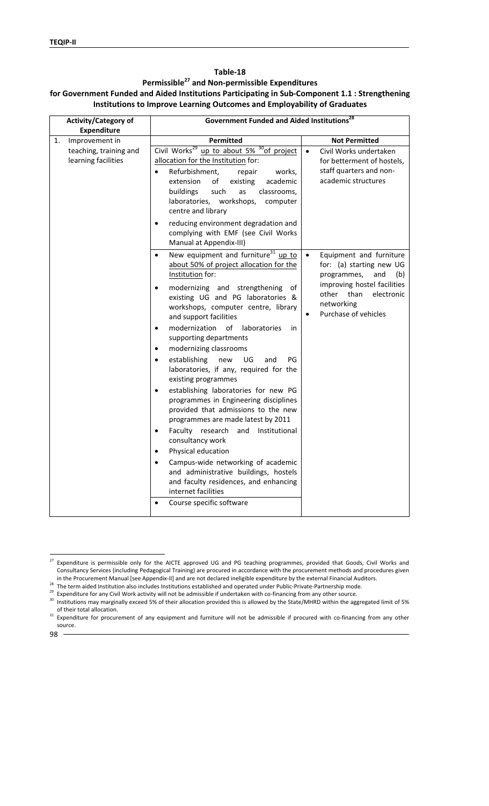#### **Table‐18**

# **Permissible27 and Non‐permissible Expenditures for Government Funded and Aided Institutions Participating in Sub‐Component 1.1 : Strengthening Institutions to Improve Learning Outcomes and Employability of Graduates**

| Activity/Category of<br><b>Expenditure</b>    | Government Funded and Aided Institutions <sup>28</sup>                                                                                                                                                                                                                                                                                                                                                                                                                                                                                                                                                                                                                                                                                                                                                           |                                                                                                                                                                                                   |  |
|-----------------------------------------------|------------------------------------------------------------------------------------------------------------------------------------------------------------------------------------------------------------------------------------------------------------------------------------------------------------------------------------------------------------------------------------------------------------------------------------------------------------------------------------------------------------------------------------------------------------------------------------------------------------------------------------------------------------------------------------------------------------------------------------------------------------------------------------------------------------------|---------------------------------------------------------------------------------------------------------------------------------------------------------------------------------------------------|--|
| Improvement in<br>1.                          | <b>Permitted</b>                                                                                                                                                                                                                                                                                                                                                                                                                                                                                                                                                                                                                                                                                                                                                                                                 | <b>Not Permitted</b>                                                                                                                                                                              |  |
| teaching, training and<br>learning facilities | Civil Works <sup>29</sup> up to about 5% <sup>30</sup> of project<br>allocation for the Institution for:<br>Refurbishment,<br>$\bullet$<br>repair<br>works,<br>extension<br>of<br>existing<br>academic<br>buildings<br>such<br>classrooms,<br>as<br>laboratories,<br>workshops,<br>computer<br>centre and library<br>reducing environment degradation and                                                                                                                                                                                                                                                                                                                                                                                                                                                        | Civil Works undertaken<br>$\bullet$<br>for betterment of hostels,<br>staff quarters and non-<br>academic structures                                                                               |  |
|                                               | complying with EMF (see Civil Works<br>Manual at Appendix-III)                                                                                                                                                                                                                                                                                                                                                                                                                                                                                                                                                                                                                                                                                                                                                   |                                                                                                                                                                                                   |  |
|                                               | New equipment and furniture <sup>31</sup> up to<br>$\bullet$<br>about 50% of project allocation for the<br>Institution for:<br>modernizing and strengthening<br>of<br>existing UG and PG laboratories &<br>workshops, computer centre, library<br>and support facilities<br>modernization<br>of<br>laboratories<br>in<br>$\bullet$<br>supporting departments<br>modernizing classrooms<br>$\bullet$<br>establishing<br>new<br>UG<br>and<br>PG<br>$\bullet$<br>laboratories, if any, required for the<br>existing programmes<br>establishing laboratories for new PG<br>$\bullet$<br>programmes in Engineering disciplines<br>provided that admissions to the new<br>programmes are made latest by 2011<br>Faculty research and Institutional<br>$\bullet$<br>consultancy work<br>Physical education<br>$\bullet$ | Equipment and furniture<br>$\bullet$<br>for: (a) starting new UG<br>programmes,<br>and<br>(b)<br>improving hostel facilities<br>than<br>electronic<br>other<br>networking<br>Purchase of vehicles |  |
|                                               | Campus-wide networking of academic<br>and administrative buildings, hostels<br>and faculty residences, and enhancing<br>internet facilities<br>Course specific software                                                                                                                                                                                                                                                                                                                                                                                                                                                                                                                                                                                                                                          |                                                                                                                                                                                                   |  |

 $\overline{a}$ 

 $^{27}$  Expenditure is permissible only for the AICTE approved UG and PG teaching programmes, provided that Goods, Civil Works and Consultancy Services (including Pedagogical Training) are procured in accordance with the procurement methods and procedures given<br>in the Procurement Manual [see Appendix-II] and are not declared ineligible expenditure by

<sup>&</sup>lt;sup>28</sup> The term aided Institution also includes Institutions established and operated under Public-Private-Partnership mode.<br><sup>29</sup> Expenditure for any Civil Work activity will not be admissible if undertaken with co-financing

of their total allocation.<br><sup>31</sup> Expenditure for procurement of any equipment and furniture will not be admissible if procured with co-financing from any other source.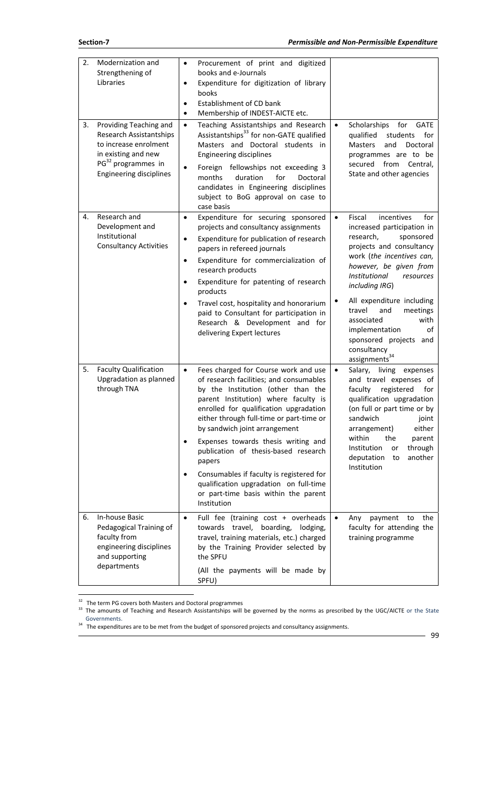| 2. | Modernization and<br>Strengthening of<br>Libraries                                                                                                                           | $\bullet$<br>$\bullet$<br>$\bullet$<br>٠      | Procurement of print and digitized<br>books and e-Journals<br>Expenditure for digitization of library<br>books<br>Establishment of CD bank<br>Membership of INDEST-AICTE etc.                                                                                                                                                                                                                                                                                                                                              |           |                                                                                                                                                                                                                                                                                                                                                                                                      |
|----|------------------------------------------------------------------------------------------------------------------------------------------------------------------------------|-----------------------------------------------|----------------------------------------------------------------------------------------------------------------------------------------------------------------------------------------------------------------------------------------------------------------------------------------------------------------------------------------------------------------------------------------------------------------------------------------------------------------------------------------------------------------------------|-----------|------------------------------------------------------------------------------------------------------------------------------------------------------------------------------------------------------------------------------------------------------------------------------------------------------------------------------------------------------------------------------------------------------|
| 3. | Providing Teaching and<br><b>Research Assistantships</b><br>to increase enrolment<br>in existing and new<br>PG <sup>32</sup> programmes in<br><b>Engineering disciplines</b> | $\bullet$<br>$\bullet$                        | Teaching Assistantships and Research<br>Assistantships <sup>33</sup> for non-GATE qualified<br>Masters and Doctoral students in<br><b>Engineering disciplines</b><br>Foreign fellowships not exceeding 3<br>duration<br>for<br>months<br>Doctoral<br>candidates in Engineering disciplines<br>subject to BoG approval on case to<br>case basis                                                                                                                                                                             | $\bullet$ | Scholarships<br>for<br><b>GATE</b><br>qualified<br>students<br>for<br>and<br>Doctoral<br><b>Masters</b><br>programmes are to be<br>secured from<br>Central,<br>State and other agencies                                                                                                                                                                                                              |
| 4. | Research and<br>Development and<br>Institutional<br><b>Consultancy Activities</b>                                                                                            | $\bullet$<br>$\bullet$<br>٠<br>$\bullet$<br>٠ | Expenditure for securing sponsored<br>projects and consultancy assignments<br>Expenditure for publication of research<br>papers in refereed journals<br>Expenditure for commercialization of<br>research products<br>Expenditure for patenting of research<br>products<br>Travel cost, hospitality and honorarium<br>paid to Consultant for participation in<br>Research & Development and for<br>delivering Expert lectures                                                                                               | $\bullet$ | Fiscal<br>incentives<br>for<br>increased participation in<br>research,<br>sponsored<br>projects and consultancy<br>work (the incentives can,<br>however, be given from<br>Institutional<br>resources<br>including IRG)<br>All expenditure including<br>travel<br>and<br>meetings<br>with<br>associated<br>implementation<br>of<br>sponsored projects and<br>consultancy<br>assignments <sup>34</sup> |
| 5. | <b>Faculty Qualification</b><br>Upgradation as planned<br>through TNA                                                                                                        | $\bullet$<br>$\bullet$<br>٠                   | Fees charged for Course work and use<br>of research facilities; and consumables<br>by the Institution (other than the<br>parent Institution) where faculty is<br>enrolled for qualification upgradation<br>either through full-time or part-time or<br>by sandwich joint arrangement<br>Expenses towards thesis writing and<br>publication of thesis-based research<br>papers<br>Consumables if faculty is registered for<br>qualification upgradation on full-time<br>or part-time basis within the parent<br>Institution | $\bullet$ | Salary, living<br>expenses<br>and travel expenses of<br>faculty<br>registered<br>for<br>qualification upgradation<br>(on full or part time or by<br>sandwich<br>joint<br>either<br>arrangement)<br>within<br>the<br>parent<br>Institution<br>through<br>or<br>another<br>deputation<br>to<br>Institution                                                                                             |
| 6. | In-house Basic<br>Pedagogical Training of<br>faculty from<br>engineering disciplines<br>and supporting<br>departments                                                        | $\bullet$                                     | Full fee (training cost + overheads<br>towards travel, boarding, lodging,<br>travel, training materials, etc.) charged<br>by the Training Provider selected by<br>the SPFU<br>(All the payments will be made by<br>SPFU)                                                                                                                                                                                                                                                                                                   | $\bullet$ | payment<br>to<br>the<br>Any<br>faculty for attending the<br>training programme                                                                                                                                                                                                                                                                                                                       |

 $\overline{a}$ 

<sup>32</sup> The term PG covers both Masters and Doctoral programmes<br><sup>33</sup> The amounts of Teaching and Research Assistantships will be governed by the norms as prescribed by the UGC/AICTE or the State Governments.

 $34$  The expenditures are to be met from the budget of sponsored projects and consultancy assignments.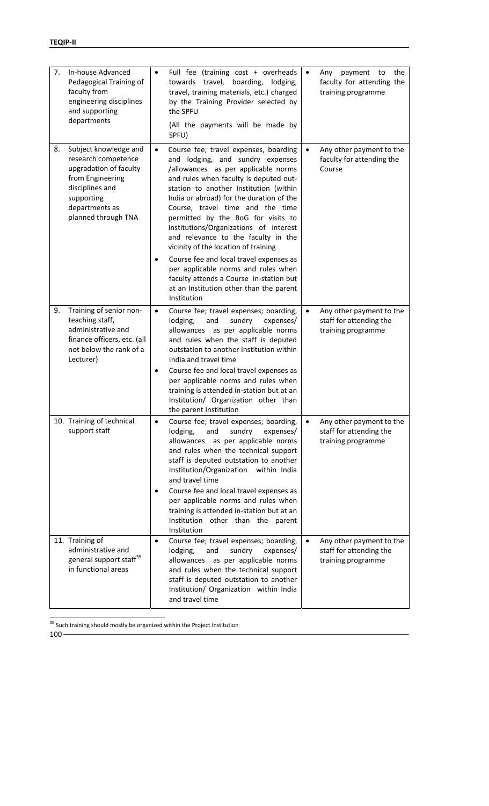| 7. | In-house Advanced<br>Pedagogical Training of<br>faculty from<br>engineering disciplines<br>and supporting<br>departments                                             | $\bullet$              | Full fee (training cost + overheads<br>towards travel,<br>boarding,<br>lodging,<br>travel, training materials, etc.) charged<br>by the Training Provider selected by<br>the SPFU<br>(All the payments will be made by<br>SPFU)                                                                                                                                                                                                                                                                                                                                                                                                             | $\bullet$ | the<br>payment<br>to<br>Any<br>faculty for attending the<br>training programme |
|----|----------------------------------------------------------------------------------------------------------------------------------------------------------------------|------------------------|--------------------------------------------------------------------------------------------------------------------------------------------------------------------------------------------------------------------------------------------------------------------------------------------------------------------------------------------------------------------------------------------------------------------------------------------------------------------------------------------------------------------------------------------------------------------------------------------------------------------------------------------|-----------|--------------------------------------------------------------------------------|
| 8. | Subject knowledge and<br>research competence<br>upgradation of faculty<br>from Engineering<br>disciplines and<br>supporting<br>departments as<br>planned through TNA | $\bullet$              | Course fee; travel expenses, boarding<br>and lodging, and sundry expenses<br>/allowances as per applicable norms<br>and rules when faculty is deputed out-<br>station to another Institution (within<br>India or abroad) for the duration of the<br>Course, travel time and the time<br>permitted by the BoG for visits to<br>Institutions/Organizations of interest<br>and relevance to the faculty in the<br>vicinity of the location of training<br>Course fee and local travel expenses as<br>per applicable norms and rules when<br>faculty attends a Course in-station but<br>at an Institution other than the parent<br>Institution | $\bullet$ | Any other payment to the<br>faculty for attending the<br>Course                |
| 9. | Training of senior non-<br>teaching staff,<br>administrative and<br>finance officers, etc. (all<br>not below the rank of a<br>Lecturer)                              | $\bullet$<br>$\bullet$ | Course fee; travel expenses; boarding,<br>lodging,<br>and<br>sundry<br>expenses/<br>allowances as per applicable norms<br>and rules when the staff is deputed<br>outstation to another Institution within<br>India and travel time<br>Course fee and local travel expenses as<br>per applicable norms and rules when<br>training is attended in-station but at an<br>Institution/ Organization other than<br>the parent Institution                                                                                                                                                                                                        |           | Any other payment to the<br>staff for attending the<br>training programme      |
|    | 10. Training of technical<br>support staff                                                                                                                           | $\bullet$              | Course fee; travel expenses; boarding,<br>sundry<br>lodging,<br>and<br>expenses/<br>allowances as per applicable norms<br>and rules when the technical support<br>staff is deputed outstation to another<br>Institution/Organization within India<br>and travel time<br>Course fee and local travel expenses as<br>per applicable norms and rules when<br>training is attended in-station but at an<br>Institution other than the parent<br>Institution                                                                                                                                                                                    |           | Any other payment to the<br>staff for attending the<br>training programme      |
|    | 11. Training of<br>administrative and<br>general support staff <sup>35</sup><br>in functional areas                                                                  | $\bullet$              | Course fee; travel expenses; boarding,<br>lodging,<br>sundry<br>and<br>expenses/<br>allowances as per applicable norms<br>and rules when the technical support<br>staff is deputed outstation to another<br>Institution/ Organization within India<br>and travel time                                                                                                                                                                                                                                                                                                                                                                      |           | Any other payment to the<br>staff for attending the<br>training programme      |

 $100 35$  Such training should mostly be organized within the Project Institution

 $\overline{a}$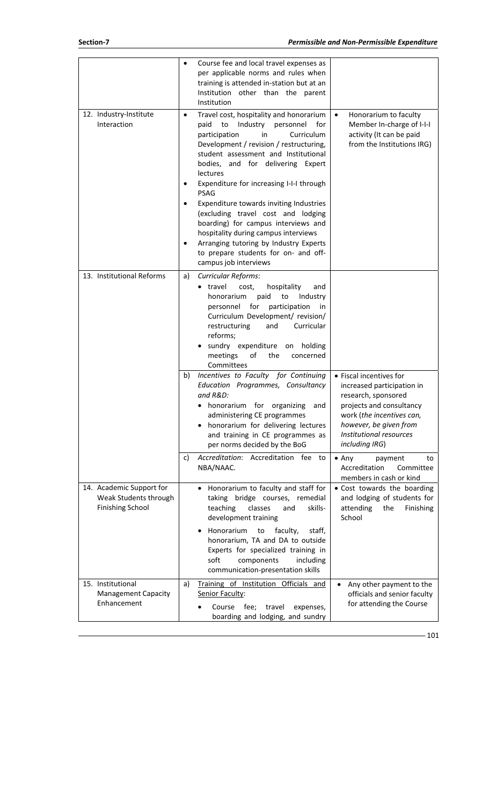|                                                                              | Course fee and local travel expenses as<br>per applicable norms and rules when<br>training is attended in-station but at an<br>Institution other than the parent<br>Institution                                                                                                                                                                                                                                                                                                                                                                                                                                   |                                                                                                                                                                                                              |
|------------------------------------------------------------------------------|-------------------------------------------------------------------------------------------------------------------------------------------------------------------------------------------------------------------------------------------------------------------------------------------------------------------------------------------------------------------------------------------------------------------------------------------------------------------------------------------------------------------------------------------------------------------------------------------------------------------|--------------------------------------------------------------------------------------------------------------------------------------------------------------------------------------------------------------|
| 12. Industry-Institute<br>Interaction                                        | Travel cost, hospitality and honorarium<br>$\bullet$<br>Industry<br>paid<br>to<br>personnel<br>for<br>participation<br>Curriculum<br>in<br>Development / revision / restructuring,<br>student assessment and Institutional<br>bodies, and for delivering Expert<br>lectures<br>Expenditure for increasing I-I-I through<br><b>PSAG</b><br>Expenditure towards inviting Industries<br>(excluding travel cost and lodging<br>boarding) for campus interviews and<br>hospitality during campus interviews<br>Arranging tutoring by Industry Experts<br>to prepare students for on- and off-<br>campus job interviews | Honorarium to faculty<br>$\bullet$<br>Member In-charge of I-I-I<br>activity (It can be paid<br>from the Institutions IRG)                                                                                    |
| 13. Institutional Reforms                                                    | Curricular Reforms:<br>a)<br>travel<br>cost,<br>hospitality<br>and<br>honorarium<br>paid<br>to<br>Industry<br>for<br>participation<br>personnel<br>in<br>Curriculum Development/ revision/<br>restructuring<br>Curricular<br>and<br>reforms;<br>sundry expenditure on holding<br>meetings<br>of<br>the<br>concerned<br>Committees                                                                                                                                                                                                                                                                                 |                                                                                                                                                                                                              |
|                                                                              | Incentives to Faculty for Continuing<br>b)<br>Education Programmes, Consultancy<br>and R&D:<br>• honorarium for organizing<br>and<br>administering CE programmes<br>honorarium for delivering lectures<br>and training in CE programmes as<br>per norms decided by the BoG                                                                                                                                                                                                                                                                                                                                        | • Fiscal incentives for<br>increased participation in<br>research, sponsored<br>projects and consultancy<br>work (the incentives can,<br>however, be given from<br>Institutional resources<br>including IRG) |
|                                                                              | Accreditation: Accreditation fee to<br>c)<br>NBA/NAAC.                                                                                                                                                                                                                                                                                                                                                                                                                                                                                                                                                            | $\bullet$ Any<br>payment<br>to<br>Accreditation<br>Committee<br>members in cash or kind                                                                                                                      |
| 14. Academic Support for<br>Weak Students through<br><b>Finishing School</b> | Honorarium to faculty and staff for<br>taking bridge courses, remedial<br>skills-<br>teaching<br>classes<br>and<br>development training                                                                                                                                                                                                                                                                                                                                                                                                                                                                           | • Cost towards the boarding<br>and lodging of students for<br>attending<br>the<br>Finishing<br>School                                                                                                        |
|                                                                              | Honorarium<br>faculty,<br>staff,<br>to<br>honorarium, TA and DA to outside<br>Experts for specialized training in<br>soft<br>components<br>including<br>communication-presentation skills                                                                                                                                                                                                                                                                                                                                                                                                                         |                                                                                                                                                                                                              |
| 15. Institutional<br><b>Management Capacity</b><br>Enhancement               | Training of Institution Officials and<br>a)<br>Senior Faculty:<br>Course<br>fee;<br>travel<br>expenses,<br>boarding and lodging, and sundry                                                                                                                                                                                                                                                                                                                                                                                                                                                                       | Any other payment to the<br>officials and senior faculty<br>for attending the Course                                                                                                                         |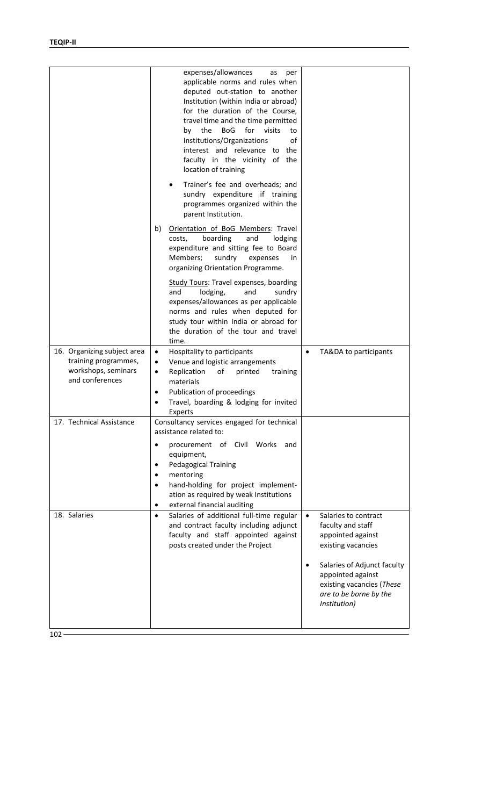|                                                                                               | expenses/allowances<br>as<br>per<br>applicable norms and rules when<br>deputed out-station to another<br>Institution (within India or abroad)<br>for the duration of the Course,<br>travel time and the time permitted<br>the<br><b>BoG</b><br>for visits<br>by<br>to<br>Institutions/Organizations<br>of<br>interest and relevance to the<br>faculty in the vicinity of the<br>location of training |                                                                                                                         |
|-----------------------------------------------------------------------------------------------|------------------------------------------------------------------------------------------------------------------------------------------------------------------------------------------------------------------------------------------------------------------------------------------------------------------------------------------------------------------------------------------------------|-------------------------------------------------------------------------------------------------------------------------|
|                                                                                               | Trainer's fee and overheads; and<br>sundry expenditure if training<br>programmes organized within the<br>parent Institution.                                                                                                                                                                                                                                                                         |                                                                                                                         |
|                                                                                               | b)<br>Orientation of BoG Members: Travel<br>costs,<br>boarding<br>lodging<br>and<br>expenditure and sitting fee to Board<br>Members;<br>sundry<br>expenses<br>in<br>organizing Orientation Programme.                                                                                                                                                                                                |                                                                                                                         |
|                                                                                               | <b>Study Tours: Travel expenses, boarding</b><br>and<br>lodging,<br>and<br>sundry<br>expenses/allowances as per applicable<br>norms and rules when deputed for<br>study tour within India or abroad for<br>the duration of the tour and travel<br>time.                                                                                                                                              |                                                                                                                         |
| 16. Organizing subject area<br>training programmes,<br>workshops, seminars<br>and conferences | Hospitality to participants<br>$\bullet$<br>Venue and logistic arrangements<br>$\bullet$<br>Replication<br>of<br>printed<br>training<br>٠<br>materials<br>Publication of proceedings<br>٠<br>Travel, boarding & lodging for invited<br>Experts                                                                                                                                                       | TA&DA to participants<br>$\bullet$                                                                                      |
| 17. Technical Assistance                                                                      | Consultancy services engaged for technical<br>assistance related to:<br>procurement of Civil Works<br>and<br>٠<br>equipment,<br><b>Pedagogical Training</b><br>٠                                                                                                                                                                                                                                     |                                                                                                                         |
|                                                                                               | mentoring<br>٠<br>hand-holding for project implement-<br>ation as required by weak Institutions<br>external financial auditing<br>$\bullet$                                                                                                                                                                                                                                                          |                                                                                                                         |
| 18. Salaries                                                                                  | Salaries of additional full-time regular<br>$\bullet$<br>and contract faculty including adjunct<br>faculty and staff appointed against<br>posts created under the Project                                                                                                                                                                                                                            | Salaries to contract<br>$\bullet$<br>faculty and staff<br>appointed against<br>existing vacancies                       |
|                                                                                               |                                                                                                                                                                                                                                                                                                                                                                                                      | Salaries of Adjunct faculty<br>appointed against<br>existing vacancies (These<br>are to be borne by the<br>Institution) |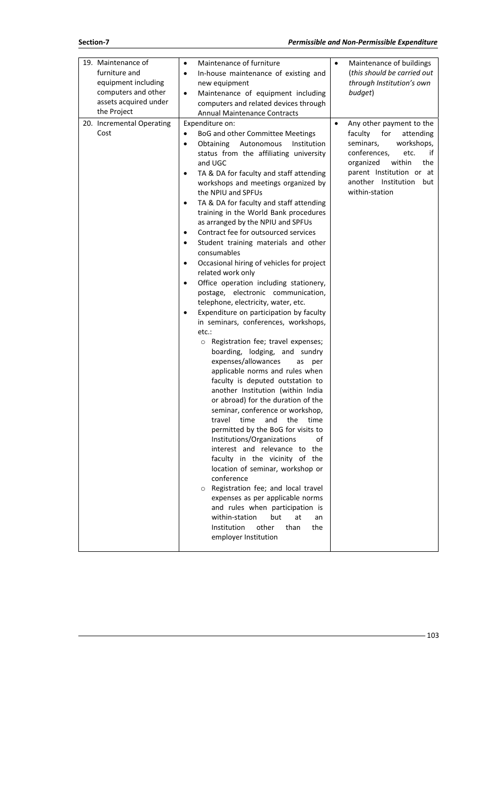| 19. Maintenance of<br>furniture and<br>equipment including<br>computers and other<br>assets acquired under<br>the Project<br>20. Incremental Operating<br>Cost | Maintenance of furniture<br>$\bullet$<br>In-house maintenance of existing and<br>$\bullet$<br>new equipment<br>Maintenance of equipment including<br>$\bullet$<br>computers and related devices through<br><b>Annual Maintenance Contracts</b><br>Expenditure on:<br>BoG and other Committee Meetings<br>$\bullet$<br>Obtaining<br>Autonomous<br>Institution<br>$\bullet$<br>status from the affiliating university<br>and UGC                                                                                                                                                                                                                                                                                                                                                                                                                                                                                                                                                                                                                                                                                                                                                                                                                                                                                                                                                                                                | $\bullet$<br>$\bullet$ | Maintenance of buildings<br>(this should be carried out<br>through Institution's own<br>budget)<br>Any other payment to the<br>faculty<br>for<br>attending<br>workshops,<br>seminars,<br>conferences,<br>etc.<br>if<br>within<br>organized<br>the |
|----------------------------------------------------------------------------------------------------------------------------------------------------------------|-------------------------------------------------------------------------------------------------------------------------------------------------------------------------------------------------------------------------------------------------------------------------------------------------------------------------------------------------------------------------------------------------------------------------------------------------------------------------------------------------------------------------------------------------------------------------------------------------------------------------------------------------------------------------------------------------------------------------------------------------------------------------------------------------------------------------------------------------------------------------------------------------------------------------------------------------------------------------------------------------------------------------------------------------------------------------------------------------------------------------------------------------------------------------------------------------------------------------------------------------------------------------------------------------------------------------------------------------------------------------------------------------------------------------------|------------------------|---------------------------------------------------------------------------------------------------------------------------------------------------------------------------------------------------------------------------------------------------|
|                                                                                                                                                                | TA & DA for faculty and staff attending<br>٠<br>workshops and meetings organized by<br>the NPIU and SPFUs<br>TA & DA for faculty and staff attending<br>$\bullet$<br>training in the World Bank procedures<br>as arranged by the NPIU and SPFUs<br>Contract fee for outsourced services<br>٠<br>Student training materials and other<br>$\bullet$<br>consumables<br>Occasional hiring of vehicles for project<br>$\bullet$<br>related work only<br>Office operation including stationery,<br>$\bullet$<br>postage, electronic communication,<br>telephone, electricity, water, etc.<br>Expenditure on participation by faculty<br>in seminars, conferences, workshops,<br>etc.:<br>o Registration fee; travel expenses;<br>boarding, lodging, and sundry<br>expenses/allowances<br>as<br>per<br>applicable norms and rules when<br>faculty is deputed outstation to<br>another Institution (within India<br>or abroad) for the duration of the<br>seminar, conference or workshop,<br>time<br>and<br>the<br>travel<br>time<br>permitted by the BoG for visits to<br>Institutions/Organizations<br>of<br>interest and relevance to the<br>faculty in the vicinity of the<br>location of seminar, workshop or<br>conference<br>Registration fee; and local travel<br>$\circ$<br>expenses as per applicable norms<br>and rules when participation is<br>within-station<br>but<br>at<br>an<br>Institution<br>other<br>than<br>the |                        | parent Institution or at<br>another Institution<br>but<br>within-station                                                                                                                                                                          |
|                                                                                                                                                                | employer Institution                                                                                                                                                                                                                                                                                                                                                                                                                                                                                                                                                                                                                                                                                                                                                                                                                                                                                                                                                                                                                                                                                                                                                                                                                                                                                                                                                                                                          |                        |                                                                                                                                                                                                                                                   |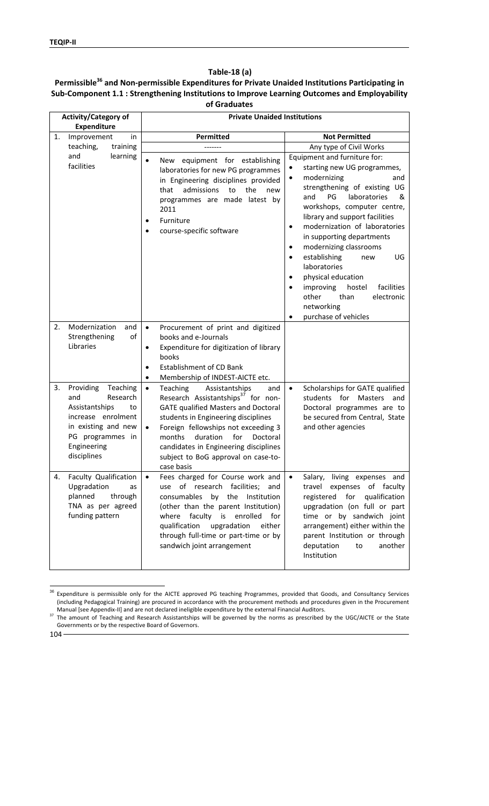#### **Table‐18 (a)**

### **Permissible36 and Non‐permissible Expenditures for Private Unaided Institutions Participating in Sub‐Component 1.1 : Strengthening Institutions to Improve Learning Outcomes and Employability of Graduates**

|    | <b>Activity/Category of</b><br><b>Expenditure</b>                                                                                                               | <b>Private Unaided Institutions</b>                                                                                                                                                                                                                                                                                                                                              |                                                                                                                                                                                                                                                                                                                                                                                                                                                                                                                                                                                                   |
|----|-----------------------------------------------------------------------------------------------------------------------------------------------------------------|----------------------------------------------------------------------------------------------------------------------------------------------------------------------------------------------------------------------------------------------------------------------------------------------------------------------------------------------------------------------------------|---------------------------------------------------------------------------------------------------------------------------------------------------------------------------------------------------------------------------------------------------------------------------------------------------------------------------------------------------------------------------------------------------------------------------------------------------------------------------------------------------------------------------------------------------------------------------------------------------|
| 1. | Improvement<br>in                                                                                                                                               | Permitted                                                                                                                                                                                                                                                                                                                                                                        | <b>Not Permitted</b>                                                                                                                                                                                                                                                                                                                                                                                                                                                                                                                                                                              |
|    | teaching,<br>training                                                                                                                                           |                                                                                                                                                                                                                                                                                                                                                                                  | Any type of Civil Works                                                                                                                                                                                                                                                                                                                                                                                                                                                                                                                                                                           |
|    | and<br>learning<br>facilities                                                                                                                                   | $\bullet$<br>equipment for establishing<br>New<br>laboratories for new PG programmes<br>in Engineering disciplines provided<br>admissions<br>the<br>that<br>to<br>new<br>programmes are made latest by<br>2011<br>Furniture<br>$\bullet$<br>course-specific software                                                                                                             | Equipment and furniture for:<br>starting new UG programmes,<br>$\bullet$<br>modernizing<br>and<br>$\bullet$<br>strengthening of existing UG<br>PG<br>laboratories<br>and<br>&<br>workshops, computer centre,<br>library and support facilities<br>modernization of laboratories<br>$\bullet$<br>in supporting departments<br>modernizing classrooms<br>$\bullet$<br>establishing<br>UG<br>new<br>$\bullet$<br>laboratories<br>physical education<br>$\bullet$<br>improving<br>hostel<br>facilities<br>$\bullet$<br>other<br>than<br>electronic<br>networking<br>purchase of vehicles<br>$\bullet$ |
| 2. | Modernization<br>and<br>Strengthening<br>of<br>Libraries                                                                                                        | Procurement of print and digitized<br>$\bullet$<br>books and e-Journals<br>Expenditure for digitization of library<br>٠<br>books<br>Establishment of CD Bank<br>٠<br>Membership of INDEST-AICTE etc.<br>$\bullet$                                                                                                                                                                |                                                                                                                                                                                                                                                                                                                                                                                                                                                                                                                                                                                                   |
| 3. | Providing<br>Teaching<br>Research<br>and<br>Assistantships<br>to<br>increase enrolment<br>in existing and new<br>PG programmes in<br>Engineering<br>disciplines | Teaching<br>Assistantships<br>$\bullet$<br>and<br>Research Assistantships <sup>37</sup> for non-<br><b>GATE qualified Masters and Doctoral</b><br>students in Engineering disciplines<br>Foreign fellowships not exceeding 3<br>$\bullet$<br>months<br>duration<br>for<br>Doctoral<br>candidates in Engineering disciplines<br>subject to BoG approval on case-to-<br>case basis | Scholarships for GATE qualified<br>$\bullet$<br>students for<br>Masters<br>and<br>Doctoral programmes are to<br>be secured from Central, State<br>and other agencies                                                                                                                                                                                                                                                                                                                                                                                                                              |
| 4. | Faculty Qualification<br>Upgradation<br>as<br>planned<br>through<br>TNA as per agreed<br>funding pattern                                                        | Fees charged for Course work and<br>$\bullet$<br>use of research facilities;<br>and<br>consumables<br>by the<br>Institution<br>(other than the parent Institution)<br>faculty is<br>enrolled<br>for<br>where<br>qualification<br>upgradation<br>either<br>through full-time or part-time or by<br>sandwich joint arrangement                                                     | Salary, living expenses and<br>$\bullet$<br>travel expenses of faculty<br>registered for<br>qualification<br>upgradation (on full or part<br>time or by sandwich joint<br>arrangement) either within the<br>parent Institution or through<br>deputation<br>another<br>to<br>Institution                                                                                                                                                                                                                                                                                                           |

 $\overline{a}$ <sup>36</sup> Expenditure is permissible only for the AICTE approved PG teaching Programmes, provided that Goods, and Consultancy Services (including Pedagogical Training) are procured in accordance with the procurement methods and procedures given in the Procurement

104

<sup>&</sup>lt;sup>37</sup> The amount of Teaching and Research Assistantships will be governed by the norms as prescribed by the UGC/AICTE or the State Governments or by the respective Board of Governors.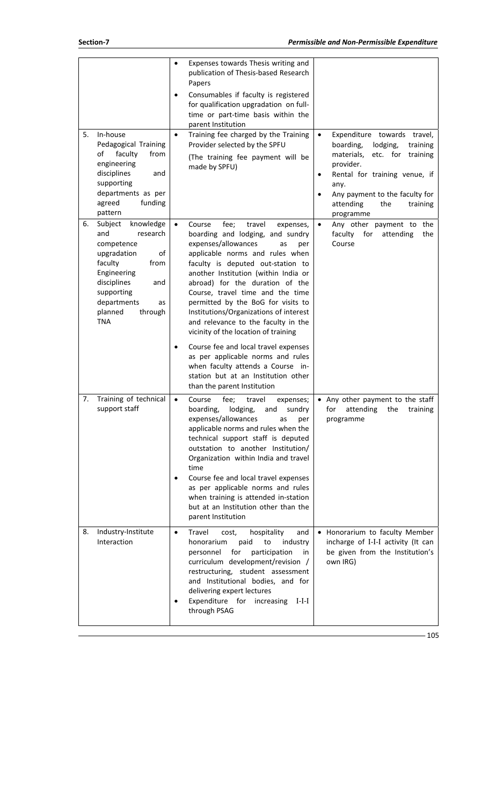| 5. | In-house<br>Pedagogical Training<br>faculty<br>from<br>of<br>engineering<br>disciplines<br>and<br>supporting<br>departments as per<br>funding<br>agreed<br>pattern                                        | $\bullet$              | Expenses towards Thesis writing and<br>publication of Thesis-based Research<br>Papers<br>Consumables if faculty is registered<br>for qualification upgradation on full-<br>time or part-time basis within the<br>parent Institution<br>Training fee charged by the Training<br>Provider selected by the SPFU<br>(The training fee payment will be<br>made by SPFU)                                                                                                                                                                                                                                                           | $\bullet$<br>$\bullet$ | Expenditure towards travel,<br>lodging,<br>boarding,<br>training<br>materials,<br>etc. for<br>training<br>provider.<br>Rental for training venue, if<br>any.<br>Any payment to the faculty for<br>attending<br>the<br>training |
|----|-----------------------------------------------------------------------------------------------------------------------------------------------------------------------------------------------------------|------------------------|------------------------------------------------------------------------------------------------------------------------------------------------------------------------------------------------------------------------------------------------------------------------------------------------------------------------------------------------------------------------------------------------------------------------------------------------------------------------------------------------------------------------------------------------------------------------------------------------------------------------------|------------------------|--------------------------------------------------------------------------------------------------------------------------------------------------------------------------------------------------------------------------------|
| 6. | Subject<br>knowledge<br>and<br>research<br>competence<br>upgradation<br>οf<br>faculty<br>from<br>Engineering<br>disciplines<br>and<br>supporting<br>departments<br>as<br>planned<br>through<br><b>TNA</b> | $\bullet$<br>$\bullet$ | Course<br>fee;<br>travel<br>expenses,<br>boarding and lodging, and sundry<br>expenses/allowances<br>as<br>per<br>applicable norms and rules when<br>faculty is deputed out-station to<br>another Institution (within India or<br>abroad) for the duration of the<br>Course, travel time and the time<br>permitted by the BoG for visits to<br>Institutions/Organizations of interest<br>and relevance to the faculty in the<br>vicinity of the location of training<br>Course fee and local travel expenses<br>as per applicable norms and rules<br>when faculty attends a Course in-<br>station but at an Institution other | $\bullet$              | programme<br>Any other payment to the<br>faculty<br>for<br>attending<br>the<br>Course                                                                                                                                          |
|    |                                                                                                                                                                                                           |                        | than the parent Institution                                                                                                                                                                                                                                                                                                                                                                                                                                                                                                                                                                                                  |                        |                                                                                                                                                                                                                                |
| 7. | Training of technical<br>support staff                                                                                                                                                                    | $\bullet$              | fee;<br>Course<br>travel<br>expenses;<br>boarding, lodging, and sundry<br>expenses/allowances<br>as<br>per<br>applicable norms and rules when the<br>technical support staff is deputed<br>outstation to another Institution/<br>Organization within India and travel<br>time<br>Course fee and local travel expenses<br>as per applicable norms and rules<br>when training is attended in-station<br>but at an Institution other than the<br>parent Institution                                                                                                                                                             |                        | • Any other payment to the staff<br>for attending the training<br>programme                                                                                                                                                    |
| 8. | Industry-Institute<br>Interaction                                                                                                                                                                         | $\bullet$              | Travel<br>hospitality<br>cost,<br>and<br>honorarium<br>paid<br>to<br>industry<br>for<br>participation<br>personnel<br>in<br>curriculum development/revision /<br>restructuring, student assessment<br>and Institutional bodies, and for<br>delivering expert lectures<br>Expenditure for increasing<br>$I-I-I$<br>through PSAG                                                                                                                                                                                                                                                                                               |                        | • Honorarium to faculty Member<br>incharge of I-I-I activity (It can<br>be given from the Institution's<br>own IRG)                                                                                                            |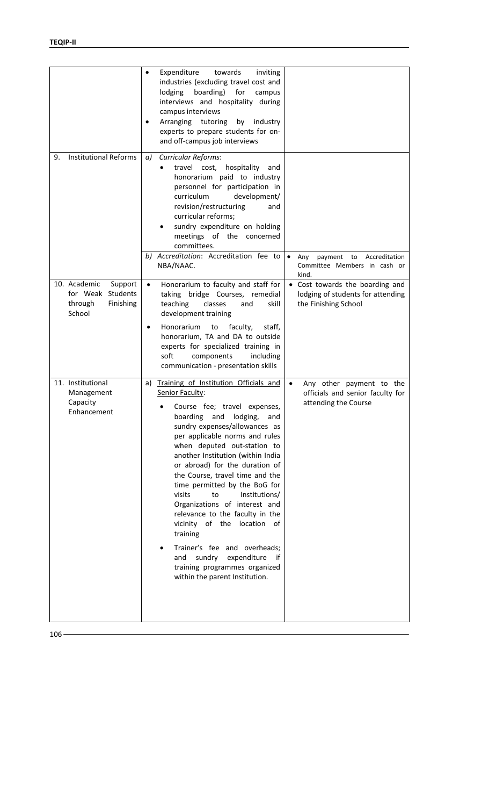|                                                                                | Expenditure<br>towards<br>inviting<br>$\bullet$<br>industries (excluding travel cost and<br>boarding)<br>for<br>lodging<br>campus<br>interviews and hospitality during<br>campus interviews<br>Arranging tutoring<br>by<br>industry<br>experts to prepare students for on-<br>and off-campus job interviews                                                                                                                                                                                                                                                                                                                                                                                                                                                                        |
|--------------------------------------------------------------------------------|------------------------------------------------------------------------------------------------------------------------------------------------------------------------------------------------------------------------------------------------------------------------------------------------------------------------------------------------------------------------------------------------------------------------------------------------------------------------------------------------------------------------------------------------------------------------------------------------------------------------------------------------------------------------------------------------------------------------------------------------------------------------------------|
| <b>Institutional Reforms</b><br>9.                                             | <b>Curricular Reforms:</b><br>a)<br>travel cost,<br>hospitality<br>and<br>honorarium paid to industry<br>personnel for participation in<br>curriculum<br>development/<br>revision/restructuring<br>and<br>curricular reforms;<br>sundry expenditure on holding<br>٠<br>meetings of the concerned<br>committees.<br>b) Accreditation: Accreditation fee to<br>$\bullet$<br>payment<br>to<br>Accreditation<br>Any<br>NBA/NAAC.<br>Committee Members in cash or<br>kind.                                                                                                                                                                                                                                                                                                              |
| 10. Academic<br>Support<br>for Weak Students<br>through<br>Finishing<br>School | Honorarium to faculty and staff for<br>• Cost towards the boarding and<br>$\bullet$<br>taking bridge Courses, remedial<br>lodging of students for attending<br>teaching<br>classes<br>skill<br>the Finishing School<br>and<br>development training<br>Honorarium<br>faculty,<br>staff,<br>to<br>$\bullet$<br>honorarium, TA and DA to outside<br>experts for specialized training in<br>soft<br>components<br>including<br>communication - presentation skills                                                                                                                                                                                                                                                                                                                     |
| 11. Institutional<br>Management<br>Capacity<br>Enhancement                     | Training of Institution Officials and<br>a)<br>$\bullet$<br>Any other payment to the<br>Senior Faculty:<br>officials and senior faculty for<br>attending the Course<br>Course fee; travel expenses,<br>boarding<br>and<br>lodging,<br>and<br>sundry expenses/allowances as<br>per applicable norms and rules<br>when deputed out-station to<br>another Institution (within India<br>or abroad) for the duration of<br>the Course, travel time and the<br>time permitted by the BoG for<br>visits<br>Institutions/<br>to<br>Organizations of interest and<br>relevance to the faculty in the<br>vicinity of the location<br>of<br>training<br>Trainer's fee and overheads;<br>expenditure<br>sundry<br>and<br>if<br>training programmes organized<br>within the parent Institution. |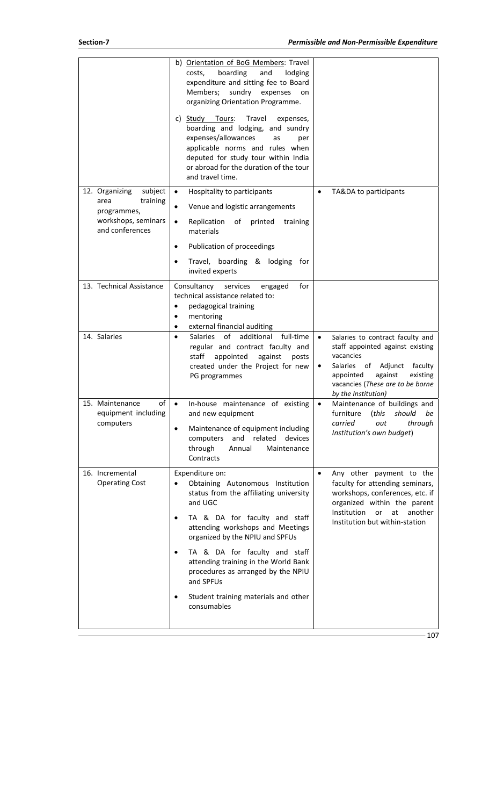|                                                                                                        | b) Orientation of BoG Members: Travel<br>boarding<br>costs,<br>and<br>lodging<br>expenditure and sitting fee to Board<br>Members;<br>sundry<br>expenses<br>on<br>organizing Orientation Programme.<br>c) Study Tours:<br>Travel<br>expenses,<br>boarding and lodging, and sundry<br>expenses/allowances<br>as<br>per<br>applicable norms and rules when<br>deputed for study tour within India<br>or abroad for the duration of the tour<br>and travel time. |                                                                                                                                                                                                                                                   |
|--------------------------------------------------------------------------------------------------------|--------------------------------------------------------------------------------------------------------------------------------------------------------------------------------------------------------------------------------------------------------------------------------------------------------------------------------------------------------------------------------------------------------------------------------------------------------------|---------------------------------------------------------------------------------------------------------------------------------------------------------------------------------------------------------------------------------------------------|
| subject<br>12. Organizing<br>training<br>area<br>programmes,<br>workshops, seminars<br>and conferences | Hospitality to participants<br>$\bullet$<br>Venue and logistic arrangements<br>$\bullet$<br>Replication<br>of<br>printed<br>$\bullet$<br>training<br>materials<br>Publication of proceedings<br>٠<br>Travel, boarding & lodging<br>tor<br>invited experts                                                                                                                                                                                                    | TA&DA to participants                                                                                                                                                                                                                             |
| 13. Technical Assistance                                                                               | for<br>Consultancy<br>services<br>engaged<br>technical assistance related to:<br>pedagogical training<br>٠<br>mentoring<br>external financial auditing<br>٠                                                                                                                                                                                                                                                                                                  |                                                                                                                                                                                                                                                   |
| 14. Salaries                                                                                           | οf<br>additional<br>full-time<br><b>Salaries</b><br>$\bullet$<br>regular and contract faculty and<br>staff<br>appointed<br>against<br>posts<br>created under the Project for new<br>PG programmes                                                                                                                                                                                                                                                            | $\bullet$<br>Salaries to contract faculty and<br>staff appointed against existing<br>vacancies<br>Adjunct<br>faculty<br><b>Salaries</b><br>of<br>٠<br>against<br>existing<br>appointed<br>vacancies (These are to be borne<br>by the Institution) |
| 15. Maintenance<br>of<br>equipment including<br>computers                                              | In-house maintenance of existing<br>$\bullet$<br>and new equipment<br>Maintenance of equipment including<br>$\bullet$<br>related<br>and<br>devices<br>computers<br>through<br>Annual<br>Maintenance<br>Contracts                                                                                                                                                                                                                                             | Maintenance of buildings and<br>$\bullet$<br>furniture<br>should<br>be<br>(this<br>carried<br>through<br>out<br>Institution's own budget)                                                                                                         |
| 16. Incremental<br><b>Operating Cost</b>                                                               | Expenditure on:<br>Obtaining Autonomous Institution<br>status from the affiliating university<br>and UGC<br>TA & DA for faculty and staff<br>attending workshops and Meetings<br>organized by the NPIU and SPFUs<br>TA & DA for faculty and staff<br>attending training in the World Bank<br>procedures as arranged by the NPIU<br>and SPFUs<br>Student training materials and other<br>consumables                                                          | Any other payment to the<br>$\bullet$<br>faculty for attending seminars,<br>workshops, conferences, etc. if<br>organized within the parent<br>Institution<br>another<br>or<br>at<br>Institution but within-station                                |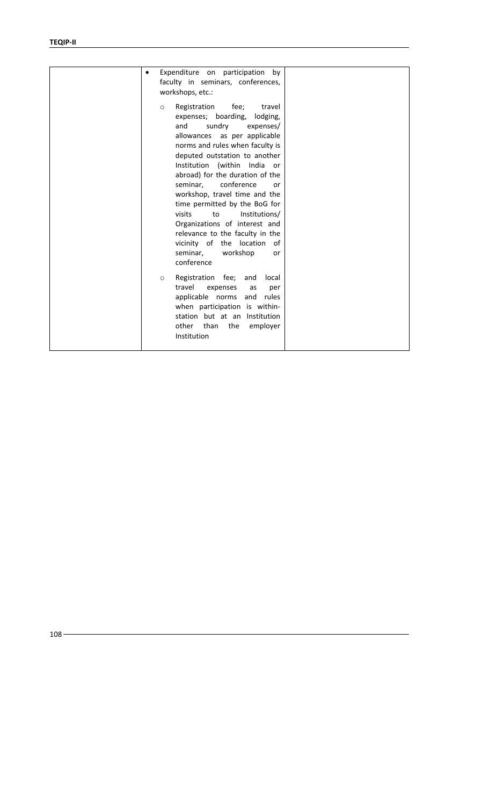| Expenditure on participation by<br>faculty in seminars, conferences,<br>workshops, etc.:<br>Registration<br>fee;<br>travel<br>$\circ$<br>expenses; boarding,<br>lodging,<br>sundry<br>and<br>expenses/<br>allowances as per applicable<br>norms and rules when faculty is<br>deputed outstation to another<br>Institution (within India<br>or<br>abroad) for the duration of the<br>seminar.<br>conference<br><sub>or</sub>                                                                              |  |
|----------------------------------------------------------------------------------------------------------------------------------------------------------------------------------------------------------------------------------------------------------------------------------------------------------------------------------------------------------------------------------------------------------------------------------------------------------------------------------------------------------|--|
| workshop, travel time and the<br>time permitted by the BoG for<br>visits<br>Institutions/<br>to<br>Organizations of interest and<br>relevance to the faculty in the<br>vicinity of the<br>location<br>of<br>seminar,<br>workshop<br><sub>or</sub><br>conference<br>Registration fee;<br>and<br>local<br>$\circ$<br>travel<br>expenses<br>as<br>per<br>applicable norms<br>and rules<br>when participation is within-<br>station but at an Institution<br>other<br>than<br>the<br>employer<br>Institution |  |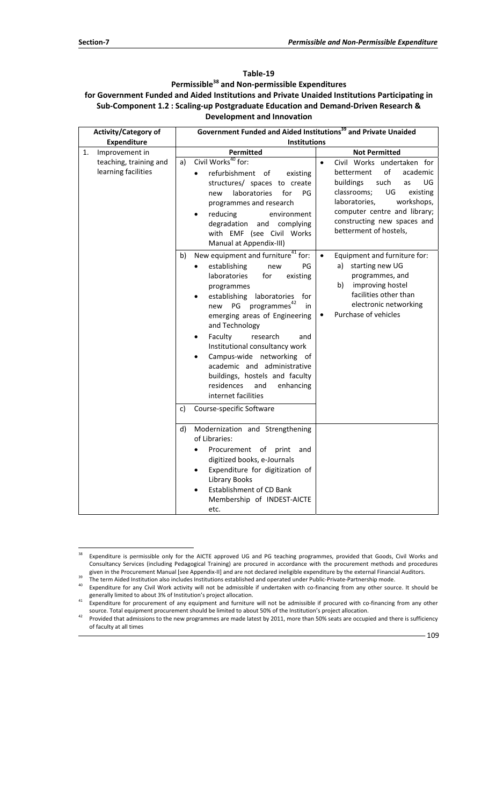## **Table‐19 Permissible38 and Non‐permissible Expenditures for Government Funded and Aided Institutions and Private Unaided Institutions Participating in Sub‐Component 1.2 : Scaling‐up Postgraduate Education and Demand‐Driven Research & Development and Innovation**

| <b>Activity/Category of</b>                   | Government Funded and Aided Institutions <sup>39</sup> and Private Unaided                                                                                                                                                                                                                                                                                                                                                                                                                                                                                            |                                                                                                                                                                                                                                                                   |  |
|-----------------------------------------------|-----------------------------------------------------------------------------------------------------------------------------------------------------------------------------------------------------------------------------------------------------------------------------------------------------------------------------------------------------------------------------------------------------------------------------------------------------------------------------------------------------------------------------------------------------------------------|-------------------------------------------------------------------------------------------------------------------------------------------------------------------------------------------------------------------------------------------------------------------|--|
| <b>Expenditure</b>                            | <b>Institutions</b>                                                                                                                                                                                                                                                                                                                                                                                                                                                                                                                                                   |                                                                                                                                                                                                                                                                   |  |
| Improvement in<br>1.                          | <b>Permitted</b>                                                                                                                                                                                                                                                                                                                                                                                                                                                                                                                                                      | <b>Not Permitted</b>                                                                                                                                                                                                                                              |  |
| teaching, training and<br>learning facilities | Civil Works <sup>40</sup> for:<br>a)<br>refurbishment of<br>existing<br>structures/ spaces to create<br>laboratories<br>for<br>PG<br>new<br>programmes and research<br>reducing<br>environment<br>$\bullet$<br>degradation<br>and complying<br>with EMF (see Civil Works<br>Manual at Appendix-III)                                                                                                                                                                                                                                                                   | Civil Works undertaken for<br>$\bullet$<br>of<br>betterment<br>academic<br>such<br>UG<br>buildings<br>as<br>classrooms;<br>UG<br>existing<br>laboratories,<br>workshops,<br>computer centre and library;<br>constructing new spaces and<br>betterment of hostels, |  |
|                                               | New equipment and furniture <sup>41</sup> for:<br>b)<br>establishing<br>PG<br>new<br><b>laboratories</b><br>for<br>existing<br>programmes<br>laboratories<br>establishing<br>for<br>programmes <sup>42</sup><br>PG<br>in<br>new<br>emerging areas of Engineering<br>and Technology<br>Faculty<br>research<br>and<br>$\bullet$<br>Institutional consultancy work<br>Campus-wide networking of<br>$\bullet$<br>academic and administrative<br>buildings, hostels and faculty<br>residences<br>and<br>enhancing<br>internet facilities<br>Course-specific Software<br>C) | $\bullet$<br>Equipment and furniture for:<br>a)<br>starting new UG<br>programmes, and<br>b)<br>improving hostel<br>facilities other than<br>electronic networking<br>Purchase of vehicles<br>$\bullet$                                                            |  |
|                                               | Modernization and Strengthening<br>d)<br>of Libraries:<br>Procurement of<br>print<br>and<br>$\bullet$<br>digitized books, e-Journals<br>Expenditure for digitization of<br>$\bullet$<br><b>Library Books</b><br><b>Establishment of CD Bank</b><br>Membership of INDEST-AICTE<br>etc.                                                                                                                                                                                                                                                                                 |                                                                                                                                                                                                                                                                   |  |

<sup>38</sup> Expenditure is permissible only for the AICTE approved UG and PG teaching programmes, provided that Goods, Civil Works and Consultancy Services (including Pedagogical Training) are procured in accordance with the procurement methods and procedures given in the Procurement Manual [see Appendix-II] and are not declared ineligible expenditure by

The term Aided Institution also includes Institutions established and operated under Public-Private-Partnership mode.<br>Expenditure for any Civil Work activity will not be admissible if undertaken with co-financing from any

generally limited to about 3% of Institution's project allocation.<br>41 Expenditure for procurement of any equipment and furniture will not be admissible if procured with co-financing from any other<br>41 Source. Total equipmen

provided that admissions to the new programmes are made latest by 2011, more than 50% seats are occupied and there is sufficiency of faculty at all times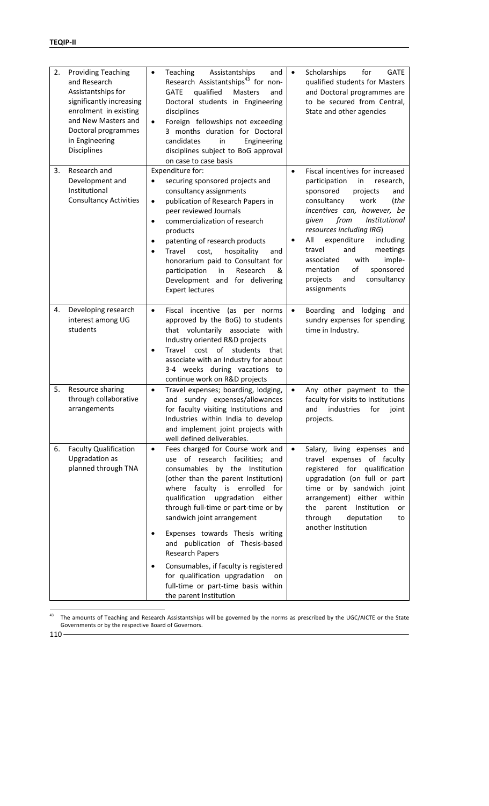| 2. | <b>Providing Teaching</b><br>and Research<br>Assistantships for<br>significantly increasing<br>enrolment in existing<br>and New Masters and<br>Doctoral programmes<br>in Engineering<br><b>Disciplines</b> | $\bullet$<br>$\bullet$                                        | <b>Teaching</b><br>Assistantships<br>and<br>Research Assistantships <sup>43</sup> for non-<br>qualified<br><b>GATE</b><br>Masters<br>and<br>Doctoral students in Engineering<br>disciplines<br>Foreign fellowships not exceeding<br>3 months duration for Doctoral<br>candidates<br>in<br>Engineering<br>disciplines subject to BoG approval<br>on case to case basis                                          | $\bullet$              | Scholarships<br>for<br><b>GATE</b><br>qualified students for Masters<br>and Doctoral programmes are<br>to be secured from Central,<br>State and other agencies                                                                                                                                                                                                                                                   |
|----|------------------------------------------------------------------------------------------------------------------------------------------------------------------------------------------------------------|---------------------------------------------------------------|----------------------------------------------------------------------------------------------------------------------------------------------------------------------------------------------------------------------------------------------------------------------------------------------------------------------------------------------------------------------------------------------------------------|------------------------|------------------------------------------------------------------------------------------------------------------------------------------------------------------------------------------------------------------------------------------------------------------------------------------------------------------------------------------------------------------------------------------------------------------|
| 3. | Research and<br>Development and<br>Institutional<br><b>Consultancy Activities</b>                                                                                                                          | $\bullet$<br>$\bullet$<br>$\bullet$<br>$\bullet$<br>$\bullet$ | Expenditure for:<br>securing sponsored projects and<br>consultancy assignments<br>publication of Research Papers in<br>peer reviewed Journals<br>commercialization of research<br>products<br>patenting of research products<br>Travel<br>cost,<br>hospitality<br>and<br>honorarium paid to Consultant for<br>participation<br>Research<br>in<br>&<br>Development and for delivering<br><b>Expert lectures</b> | $\bullet$<br>$\bullet$ | Fiscal incentives for increased<br>participation<br>in<br>research,<br>sponsored<br>projects<br>and<br>consultancy<br>work<br>(the<br>incentives can, however, be<br>from<br>Institutional<br>given<br>resources including IRG)<br>expenditure<br>All<br>including<br>and<br>meetings<br>travel<br>with<br>imple-<br>associated<br>оf<br>sponsored<br>mentation<br>consultancy<br>and<br>projects<br>assignments |
| 4. | Developing research<br>interest among UG<br>students                                                                                                                                                       | $\bullet$<br>$\bullet$                                        | Fiscal incentive (as per norms<br>approved by the BoG) to students<br>that voluntarily associate with<br>Industry oriented R&D projects<br>Travel cost<br>of<br>students<br>that<br>associate with an Industry for about<br>3-4 weeks during vacations to<br>continue work on R&D projects                                                                                                                     | $\bullet$              | Boarding and lodging and<br>sundry expenses for spending<br>time in Industry.                                                                                                                                                                                                                                                                                                                                    |
| 5. | Resource sharing<br>through collaborative<br>arrangements                                                                                                                                                  | $\bullet$                                                     | Travel expenses; boarding, lodging,<br>and sundry expenses/allowances<br>for faculty visiting Institutions and<br>Industries within India to develop<br>and implement joint projects with<br>well defined deliverables.                                                                                                                                                                                        | $\bullet$              | Any other payment to the<br>faculty for visits to Institutions<br>and<br>industries<br>for<br>joint<br>projects.                                                                                                                                                                                                                                                                                                 |
| 6. | <b>Faculty Qualification</b><br><b>Upgradation as</b><br>planned through TNA                                                                                                                               | $\bullet$<br>$\bullet$                                        | Fees charged for Course work and<br>use of research facilities; and<br>consumables by the Institution<br>(other than the parent Institution)<br>where faculty is enrolled<br>for<br>qualification upgradation either<br>through full-time or part-time or by<br>sandwich joint arrangement<br>Expenses towards Thesis writing<br>and publication of Thesis-based                                               | $\bullet$              | Salary, living expenses and<br>travel expenses of faculty<br>registered for qualification<br>upgradation (on full or part<br>time or by sandwich joint<br>arrangement) either within<br>the parent Institution<br>or<br>through<br>deputation<br>to<br>another Institution                                                                                                                                       |
|    |                                                                                                                                                                                                            | $\bullet$                                                     | <b>Research Papers</b><br>Consumables, if faculty is registered<br>for qualification upgradation<br>on<br>full-time or part-time basis within<br>the parent Institution                                                                                                                                                                                                                                        |                        |                                                                                                                                                                                                                                                                                                                                                                                                                  |

 $43$  $43$  The amounts of Teaching and Research Assistantships will be governed by the norms as prescribed by the UGC/AICTE or the State Governments or by the respective Board of Governors.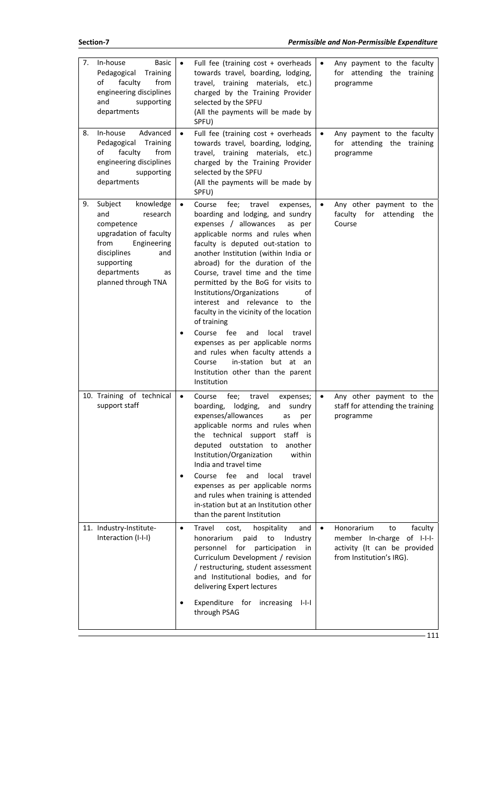| 7.<br>8. | In-house<br><b>Basic</b><br>Pedagogical<br>Training<br>of<br>faculty<br>from<br>engineering disciplines<br>and<br>supporting<br>departments<br>In-house<br>Advanced<br>Pedagogical<br>Training<br>faculty<br>from<br>of<br>engineering disciplines<br>and<br>supporting<br>departments | $\bullet$<br>$\bullet$ | Full fee (training cost + overheads<br>towards travel, boarding, lodging,<br>travel, training materials, etc.)<br>charged by the Training Provider<br>selected by the SPFU<br>(All the payments will be made by<br>SPFU)<br>Full fee (training cost + overheads<br>towards travel, boarding, lodging,<br>travel, training materials, etc.)<br>charged by the Training Provider<br>selected by the SPFU<br>(All the payments will be made by<br>SPFU)                                                                                                                                                                                                                           | $\bullet$<br>$\bullet$ | Any payment to the faculty<br>for attending the training<br>programme<br>Any payment to the faculty<br>for attending the training<br>programme |
|----------|----------------------------------------------------------------------------------------------------------------------------------------------------------------------------------------------------------------------------------------------------------------------------------------|------------------------|--------------------------------------------------------------------------------------------------------------------------------------------------------------------------------------------------------------------------------------------------------------------------------------------------------------------------------------------------------------------------------------------------------------------------------------------------------------------------------------------------------------------------------------------------------------------------------------------------------------------------------------------------------------------------------|------------------------|------------------------------------------------------------------------------------------------------------------------------------------------|
| 9.       | knowledge<br>Subject<br>and<br>research<br>competence<br>upgradation of faculty<br>Engineering<br>from<br>disciplines<br>and<br>supporting<br>departments<br>as<br>planned through TNA                                                                                                 | $\bullet$              | fee;<br>travel<br>Course<br>expenses,<br>boarding and lodging, and sundry<br>expenses / allowances<br>as per<br>applicable norms and rules when<br>faculty is deputed out-station to<br>another Institution (within India or<br>abroad) for the duration of the<br>Course, travel time and the time<br>permitted by the BoG for visits to<br>Institutions/Organizations<br>of<br>interest and relevance to the<br>faculty in the vicinity of the location<br>of training<br>Course fee<br>local<br>and<br>travel<br>expenses as per applicable norms<br>and rules when faculty attends a<br>Course<br>in-station but at an<br>Institution other than the parent<br>Institution | $\bullet$              | Any other payment to the<br>faculty for attending<br>the<br>Course                                                                             |
|          | 10. Training of technical<br>support staff                                                                                                                                                                                                                                             | $\bullet$              | Course<br>fee;<br>travel<br>expenses;<br>boarding, lodging,<br>sundry<br>and<br>expenses/allowances<br>as<br>per<br>applicable norms and rules when<br>the technical support<br>staff is<br>deputed outstation to<br>another<br>Institution/Organization<br>within<br>India and travel time<br>fee<br>and<br>Course<br>local<br>travel<br>expenses as per applicable norms<br>and rules when training is attended<br>in-station but at an Institution other<br>than the parent Institution                                                                                                                                                                                     | $\bullet$              | Any other payment to the<br>staff for attending the training<br>programme                                                                      |
|          | 11. Industry-Institute-<br>Interaction (I-I-I)                                                                                                                                                                                                                                         | $\bullet$              | Travel<br>cost,<br>hospitality<br>and<br>honorarium<br>paid<br>to<br>Industry<br>for<br>personnel<br>participation<br>in.<br>Curriculum Development / revision<br>/ restructuring, student assessment<br>and Institutional bodies, and for<br>delivering Expert lectures<br>Expenditure for increasing<br>$I-I-I$<br>through PSAG                                                                                                                                                                                                                                                                                                                                              | $\bullet$              | Honorarium<br>faculty<br>to<br>member In-charge of I-I-I-<br>activity (It can be provided<br>from Institution's IRG).<br>111                   |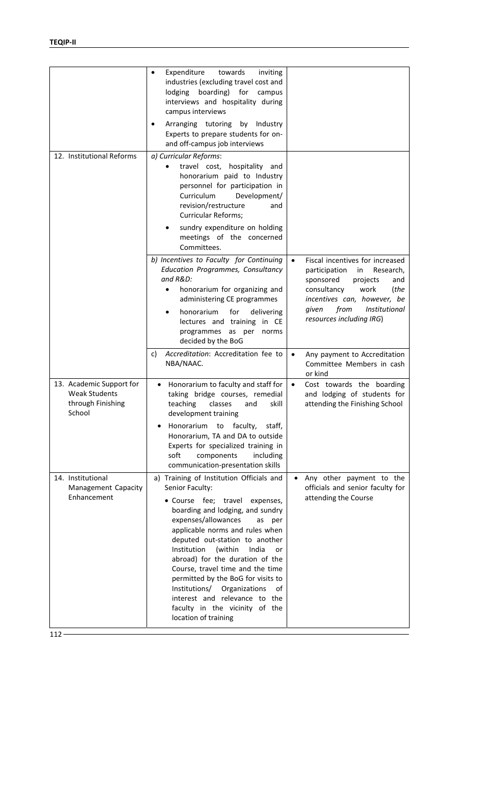| 12. Institutional Reforms                                                       | Expenditure<br>towards<br>inviting<br>$\bullet$<br>industries (excluding travel cost and<br>lodging<br>boarding)<br>for<br>campus<br>interviews and hospitality during<br>campus interviews<br>tutoring<br>Arranging<br>by Industry<br>Experts to prepare students for on-<br>and off-campus job interviews<br>a) Curricular Reforms:<br>travel cost, hospitality and<br>honorarium paid to Industry<br>personnel for participation in<br>Curriculum<br>Development/<br>revision/restructure<br>and<br><b>Curricular Reforms;</b>   |           |                                                                                                                                                                                                                                 |
|---------------------------------------------------------------------------------|-------------------------------------------------------------------------------------------------------------------------------------------------------------------------------------------------------------------------------------------------------------------------------------------------------------------------------------------------------------------------------------------------------------------------------------------------------------------------------------------------------------------------------------|-----------|---------------------------------------------------------------------------------------------------------------------------------------------------------------------------------------------------------------------------------|
|                                                                                 | sundry expenditure on holding<br>meetings of the concerned<br>Committees.                                                                                                                                                                                                                                                                                                                                                                                                                                                           |           |                                                                                                                                                                                                                                 |
|                                                                                 | b) Incentives to Faculty for Continuing<br>Education Programmes, Consultancy<br>and R&D:<br>honorarium for organizing and<br>$\bullet$<br>administering CE programmes<br>honorarium<br>for<br>delivering<br>$\bullet$<br>lectures and training<br>in CE<br>programmes as per<br>norms<br>decided by the BoG                                                                                                                                                                                                                         | $\bullet$ | Fiscal incentives for increased<br>participation<br>Research,<br>in<br>sponsored<br>projects<br>and<br>consultancy<br>work<br>(the<br>incentives can, however, be<br>from<br>Institutional<br>given<br>resources including IRG) |
|                                                                                 | Accreditation: Accreditation fee to<br>c)<br>NBA/NAAC.                                                                                                                                                                                                                                                                                                                                                                                                                                                                              | $\bullet$ | Any payment to Accreditation<br>Committee Members in cash<br>or kind                                                                                                                                                            |
| 13. Academic Support for<br><b>Weak Students</b><br>through Finishing<br>School | Honorarium to faculty and staff for<br>$\bullet$<br>taking bridge courses, remedial<br>classes<br>teaching<br>and<br>skill<br>development training<br>faculty,<br>Honorarium<br>to<br>staff,<br>Honorarium, TA and DA to outside<br>Experts for specialized training in<br>soft<br>components<br>including<br>communication-presentation skills                                                                                                                                                                                     | $\bullet$ | Cost towards the boarding<br>and lodging of students for<br>attending the Finishing School                                                                                                                                      |
| 14. Institutional<br>Management Capacity<br>Enhancement                         | a) Training of Institution Officials and<br>Senior Faculty:<br>• Course fee; travel<br>expenses,<br>boarding and lodging, and sundry<br>expenses/allowances<br>as per<br>applicable norms and rules when<br>deputed out-station to another<br>Institution<br>(within<br>India<br>or<br>abroad) for the duration of the<br>Course, travel time and the time<br>permitted by the BoG for visits to<br>Institutions/<br>Organizations<br>οf<br>interest and relevance to the<br>faculty in the vicinity of the<br>location of training |           | Any other payment to the<br>officials and senior faculty for<br>attending the Course                                                                                                                                            |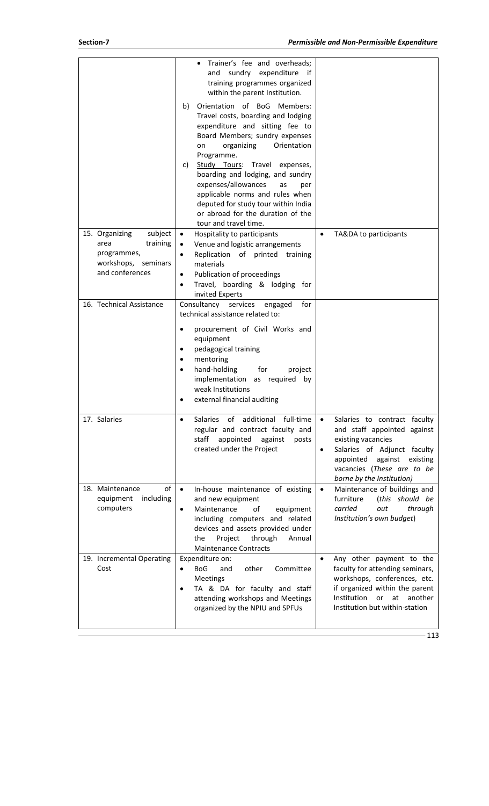|                                                              | Trainer's fee and overheads;<br>sundry expenditure<br>and<br>-it<br>training programmes organized<br>within the parent Institution.                                                                                                                                                                                                                                                                                                                    |                                                                                                                                                                                                                                           |
|--------------------------------------------------------------|--------------------------------------------------------------------------------------------------------------------------------------------------------------------------------------------------------------------------------------------------------------------------------------------------------------------------------------------------------------------------------------------------------------------------------------------------------|-------------------------------------------------------------------------------------------------------------------------------------------------------------------------------------------------------------------------------------------|
|                                                              | Orientation of BoG<br>Members:<br>b)<br>Travel costs, boarding and lodging<br>expenditure and sitting fee to<br>Board Members; sundry expenses<br>Orientation<br>organizing<br>on<br>Programme.<br>Study Tours: Travel expenses,<br>C)<br>boarding and lodging, and sundry<br>expenses/allowances<br>as<br>per<br>applicable norms and rules when<br>deputed for study tour within India<br>or abroad for the duration of the<br>tour and travel time. |                                                                                                                                                                                                                                           |
| subject<br>15. Organizing                                    | Hospitality to participants<br>$\bullet$                                                                                                                                                                                                                                                                                                                                                                                                               | TA&DA to participants<br>$\bullet$                                                                                                                                                                                                        |
| training<br>area<br>programmes,                              | Venue and logistic arrangements<br>$\bullet$<br>Replication of printed<br>training<br>$\bullet$                                                                                                                                                                                                                                                                                                                                                        |                                                                                                                                                                                                                                           |
| workshops, seminars                                          | materials                                                                                                                                                                                                                                                                                                                                                                                                                                              |                                                                                                                                                                                                                                           |
| and conferences                                              | Publication of proceedings<br>$\bullet$                                                                                                                                                                                                                                                                                                                                                                                                                |                                                                                                                                                                                                                                           |
|                                                              | Travel, boarding & lodging for<br>$\bullet$<br>invited Experts                                                                                                                                                                                                                                                                                                                                                                                         |                                                                                                                                                                                                                                           |
| 16. Technical Assistance                                     | Consultancy<br>for<br>services<br>engaged                                                                                                                                                                                                                                                                                                                                                                                                              |                                                                                                                                                                                                                                           |
|                                                              | technical assistance related to:                                                                                                                                                                                                                                                                                                                                                                                                                       |                                                                                                                                                                                                                                           |
|                                                              | procurement of Civil Works and<br>$\bullet$<br>equipment<br>pedagogical training<br>$\bullet$<br>mentoring<br>٠<br>hand-holding<br>for<br>project<br>$\bullet$<br>implementation as required<br>by<br>weak Institutions<br>external financial auditing                                                                                                                                                                                                 |                                                                                                                                                                                                                                           |
| 17. Salaries                                                 | additional full-time<br>of<br><b>Salaries</b><br>$\bullet$<br>regular and contract faculty and<br>staff<br>appointed<br>against<br>posts<br>created under the Project                                                                                                                                                                                                                                                                                  | Salaries to contract faculty<br>$\bullet$<br>and staff appointed against<br>existing vacancies<br>Salaries of Adjunct faculty<br>$\bullet$<br>against<br>appointed<br>existing<br>vacancies (These are to be<br>borne by the Institution) |
| of<br>18. Maintenance<br>equipment<br>including<br>computers | In-house maintenance of existing<br>$\bullet$<br>and new equipment<br>Maintenance<br>equipment<br>of<br>$\bullet$<br>including computers and related<br>devices and assets provided under<br>Project<br>through<br>the<br>Annual<br><b>Maintenance Contracts</b>                                                                                                                                                                                       | Maintenance of buildings and<br>$\bullet$<br>furniture<br>(this should be<br>carried<br>through<br>out<br>Institution's own budget)                                                                                                       |
| 19. Incremental Operating<br>Cost                            | Expenditure on:<br><b>BoG</b><br>other<br>Committee<br>and<br>$\bullet$<br><b>Meetings</b><br>TA & DA for faculty and staff<br>$\bullet$<br>attending workshops and Meetings<br>organized by the NPIU and SPFUs                                                                                                                                                                                                                                        | Any other payment to the<br>$\bullet$<br>faculty for attending seminars,<br>workshops, conferences, etc.<br>if organized within the parent<br>Institution<br>another<br>at<br>or<br>Institution but within-station                        |
|                                                              |                                                                                                                                                                                                                                                                                                                                                                                                                                                        |                                                                                                                                                                                                                                           |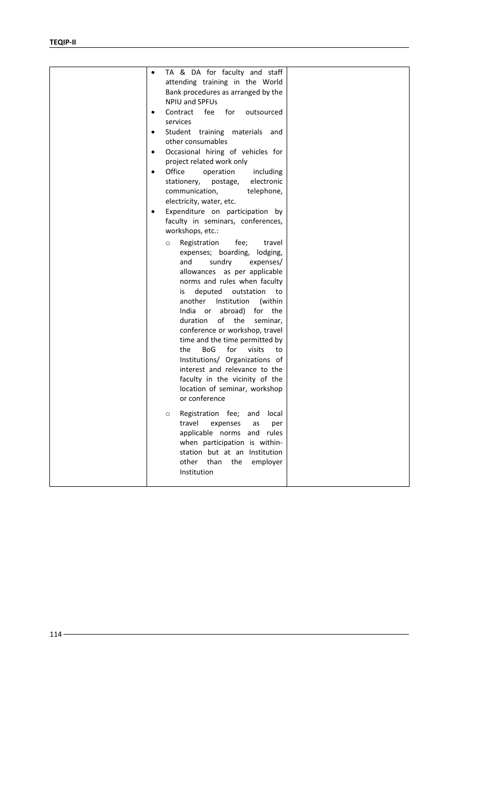| TA & DA for faculty and staff<br>٠<br>attending training in the World<br>Bank procedures as arranged by the<br><b>NPIU and SPFUs</b><br>for<br>Contract<br>fee<br>outsourced<br>٠<br>services<br>Student training materials and<br>$\bullet$<br>other consumables<br>Occasional hiring of vehicles for<br>$\bullet$<br>project related work only<br>Office<br>operation<br>including<br>$\bullet$<br>electronic<br>stationery,<br>postage,<br>communication,<br>telephone,<br>electricity, water, etc.<br>Expenditure on participation by<br>٠<br>faculty in seminars, conferences,<br>workshops, etc.: |  |
|---------------------------------------------------------------------------------------------------------------------------------------------------------------------------------------------------------------------------------------------------------------------------------------------------------------------------------------------------------------------------------------------------------------------------------------------------------------------------------------------------------------------------------------------------------------------------------------------------------|--|
| Registration<br>fee;<br>travel<br>$\circ$<br>expenses; boarding, lodging,<br>sundry<br>and<br>expenses/<br>allowances as per applicable<br>norms and rules when faculty<br>deputed<br>outstation<br>is<br>to<br>Institution<br>another<br>(within<br>India or abroad) for the<br>of<br>the<br>duration<br>seminar,<br>conference or workshop, travel<br>time and the time permitted by<br><b>BoG</b><br>for<br>visits<br>the<br>to<br>Institutions/ Organizations of<br>interest and relevance to the<br>faculty in the vicinity of the<br>location of seminar, workshop<br>or conference               |  |
| Registration fee; and<br>local<br>O<br>travel<br>expenses<br>per<br>as<br>applicable norms<br>and<br>rules<br>when participation is within-<br>station but at an<br>Institution<br>other<br>than<br>the<br>employer<br>Institution                                                                                                                                                                                                                                                                                                                                                                      |  |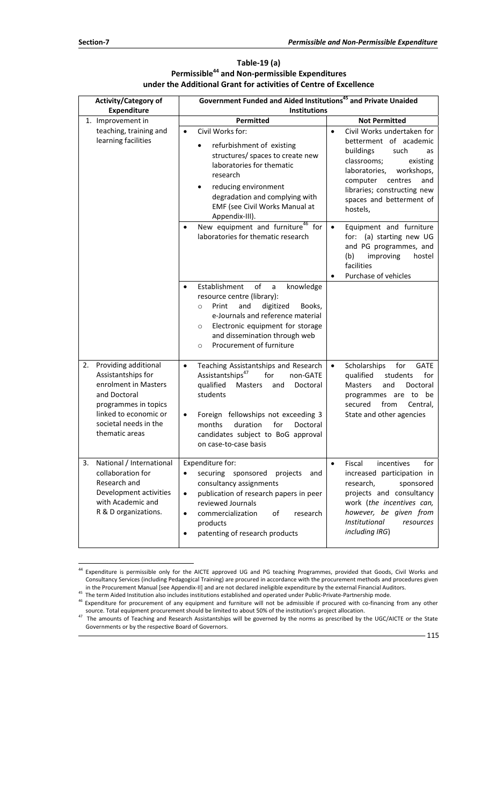$\overline{a}$ 

|    | <b>Activity/Category of</b>                                                                                                                                                       | Government Funded and Aided Institutions <sup>45</sup> and Private Unaided                                                                                                                                                                                                                                              |           |                                                                                                                                                                                                                                                |  |
|----|-----------------------------------------------------------------------------------------------------------------------------------------------------------------------------------|-------------------------------------------------------------------------------------------------------------------------------------------------------------------------------------------------------------------------------------------------------------------------------------------------------------------------|-----------|------------------------------------------------------------------------------------------------------------------------------------------------------------------------------------------------------------------------------------------------|--|
|    | <b>Expenditure</b>                                                                                                                                                                | <b>Institutions</b>                                                                                                                                                                                                                                                                                                     |           |                                                                                                                                                                                                                                                |  |
|    | 1. Improvement in                                                                                                                                                                 | Permitted                                                                                                                                                                                                                                                                                                               |           | <b>Not Permitted</b>                                                                                                                                                                                                                           |  |
|    | teaching, training and<br>learning facilities                                                                                                                                     | Civil Works for:<br>$\bullet$<br>refurbishment of existing<br>structures/ spaces to create new<br>laboratories for thematic<br>research<br>reducing environment<br>$\bullet$<br>degradation and complying with<br>EMF (see Civil Works Manual at<br>Appendix-III).                                                      | $\bullet$ | Civil Works undertaken for<br>betterment of academic<br>buildings<br>such<br>as<br>classrooms;<br>existing<br>laboratories,<br>workshops,<br>and<br>computer<br>centres<br>libraries; constructing new<br>spaces and betterment of<br>hostels, |  |
|    |                                                                                                                                                                                   | New equipment and furniture <sup>46</sup> for<br>$\bullet$<br>laboratories for thematic research                                                                                                                                                                                                                        | $\bullet$ | Equipment and furniture<br>for: (a) starting new UG<br>and PG programmes, and<br>improving<br>hostel<br>(b)<br>facilities<br>Purchase of vehicles                                                                                              |  |
|    |                                                                                                                                                                                   | Establishment<br>of<br>knowledge<br>$\bullet$<br>a<br>resource centre (library):<br>digitized<br>Print<br>and<br>Books,<br>$\circ$<br>e-Journals and reference material<br>Electronic equipment for storage<br>$\circ$<br>and dissemination through web<br>Procurement of furniture<br>$\circ$                          |           |                                                                                                                                                                                                                                                |  |
|    | 2. Providing additional<br>Assistantships for<br>enrolment in Masters<br>and Doctoral<br>programmes in topics<br>linked to economic or<br>societal needs in the<br>thematic areas | Teaching Assistantships and Research<br>$\bullet$<br>Assistantships <sup>47</sup><br>for<br>non-GATE<br>qualified<br>Masters<br>Doctoral<br>and<br>students<br>Foreign fellowships not exceeding 3<br>$\bullet$<br>months<br>duration<br>for<br>Doctoral<br>candidates subject to BoG approval<br>on case-to-case basis | $\bullet$ | Scholarships<br>for<br><b>GATE</b><br>qualified<br>for<br>students<br>Masters<br>and<br>Doctoral<br>programmes are to be<br>secured<br>from<br>Central,<br>State and other agencies                                                            |  |
| 3. | National / International<br>collaboration for<br>Research and<br>Development activities<br>with Academic and<br>R & D organizations.                                              | Expenditure for:<br>securing sponsored<br>$\bullet$<br>projects<br>and<br>consultancy assignments<br>publication of research papers in peer<br>$\bullet$<br>reviewed Journals<br>commercialization<br>of<br>research<br>$\bullet$<br>products<br>patenting of research products<br>$\bullet$                            | $\bullet$ | Fiscal<br>incentives<br>for<br>increased participation in<br>research,<br>sponsored<br>projects and consultancy<br>work (the incentives can,<br>however, be given from<br>Institutional<br>resources<br>including IRG)                         |  |

### **Table‐19 (a) Permissible44 and Non‐permissible Expenditures under the Additional Grant for activities of Centre of Excellence**

<sup>&</sup>lt;sup>44</sup> Expenditure is permissible only for the AICTE approved UG and PG teaching Programmes, provided that Goods, Civil Works and Consultancy Services (including Pedagogical Training) are procured in accordance with the procurement methods and procedures given in the Procurement Manual [see Appendix-II] and are not declared ineligible expenditure by the external Financial Auditors.<br><sup>45</sup> The term Aided Institution also includes institutions established and operated under Public-

source. Total equipment procurement should be limited to about 50% of the institution's project allocation.<br>The amounts of Teaching and Research Assistantships will be governed by the norms as prescribed by the UGC/AICTE o

Governments or by the respective Board of Governors.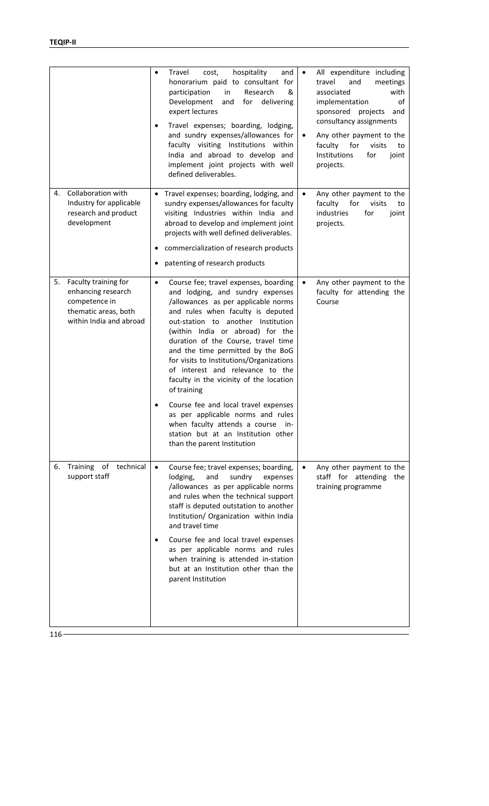|                                                                                                                      | cost,<br>hospitality<br>Travel<br>and<br>$\bullet$<br>honorarium paid to consultant for<br>Research<br>participation<br>in<br>&<br>Development<br>delivering<br>and<br>for<br>expert lectures<br>Travel expenses; boarding, lodging,<br>$\bullet$<br>and sundry expenses/allowances for<br>faculty visiting Institutions within<br>India and abroad to develop and<br>implement joint projects with well<br>defined deliverables.                                                                                                                                                                                                                             | All expenditure including<br>travel<br>and<br>meetings<br>with<br>associated<br>implementation<br>οf<br>sponsored<br>projects<br>and<br>consultancy assignments<br>Any other payment to the<br>faculty<br>for<br>visits<br>to<br>Institutions<br>joint<br>for<br>projects. |
|----------------------------------------------------------------------------------------------------------------------|---------------------------------------------------------------------------------------------------------------------------------------------------------------------------------------------------------------------------------------------------------------------------------------------------------------------------------------------------------------------------------------------------------------------------------------------------------------------------------------------------------------------------------------------------------------------------------------------------------------------------------------------------------------|----------------------------------------------------------------------------------------------------------------------------------------------------------------------------------------------------------------------------------------------------------------------------|
| <b>Collaboration with</b><br>4.<br>Industry for applicable<br>research and product<br>development                    | Travel expenses; boarding, lodging, and<br>$\bullet$<br>sundry expenses/allowances for faculty<br>visiting Industries within India and<br>abroad to develop and implement joint<br>projects with well defined deliverables.<br>commercialization of research products<br>patenting of research products<br>٠                                                                                                                                                                                                                                                                                                                                                  | Any other payment to the<br>$\bullet$<br>faculty<br>for<br>visits<br>to<br>industries<br>for<br>joint<br>projects.                                                                                                                                                         |
| Faculty training for<br>5.<br>enhancing research<br>competence in<br>thematic areas, both<br>within India and abroad | Course fee; travel expenses, boarding<br>$\bullet$<br>and lodging, and sundry expenses<br>/allowances as per applicable norms<br>and rules when faculty is deputed<br>out-station to another Institution<br>(within India or abroad) for the<br>duration of the Course, travel time<br>and the time permitted by the BoG<br>for visits to Institutions/Organizations<br>of interest and relevance to the<br>faculty in the vicinity of the location<br>of training<br>Course fee and local travel expenses<br>as per applicable norms and rules<br>when faculty attends a course<br>in-<br>station but at an Institution other<br>than the parent Institution | Any other payment to the<br>faculty for attending the<br>Course                                                                                                                                                                                                            |
| Training of technical<br>6.<br>support staff                                                                         | Course fee; travel expenses; boarding,<br>$\bullet$<br>and<br>sundry<br>lodging,<br>expenses<br>/allowances as per applicable norms<br>and rules when the technical support<br>staff is deputed outstation to another<br>Institution/ Organization within India<br>and travel time<br>Course fee and local travel expenses<br>٠<br>as per applicable norms and rules<br>when training is attended in-station<br>but at an Institution other than the<br>parent Institution                                                                                                                                                                                    | Any other payment to the<br>$\bullet$<br>staff for attending the<br>training programme                                                                                                                                                                                     |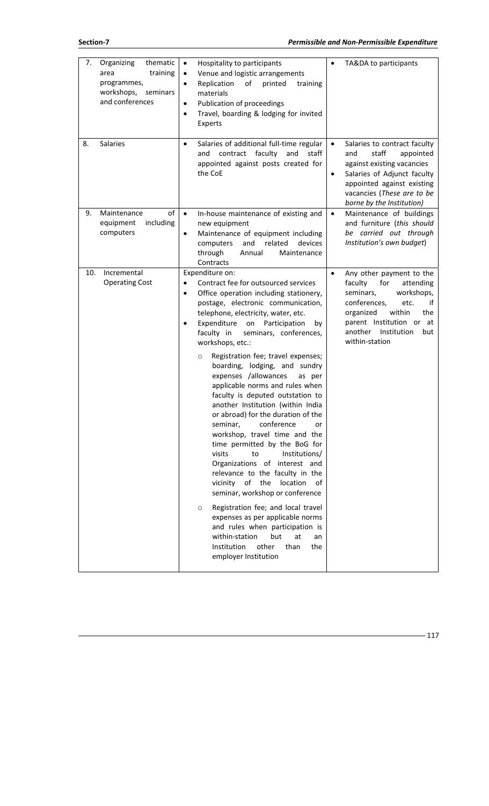| 7.<br>Organizing<br>thematic<br>training<br>area<br>programmes,<br>workshops,<br>seminars<br>and conferences | Hospitality to participants<br>$\bullet$<br>Venue and logistic arrangements<br>$\bullet$<br>Replication<br>of<br>printed<br>training<br>$\bullet$<br>materials<br>Publication of proceedings<br>$\bullet$<br>Travel, boarding & lodging for invited<br>$\bullet$<br>Experts                                                                                                                                                                                                                                                                                                                                                                                                                                                                                                                                                                                                                                                                                                                                                                                                                                  | TA&DA to participants<br>$\bullet$                                                                                                                                                                                                         |
|--------------------------------------------------------------------------------------------------------------|--------------------------------------------------------------------------------------------------------------------------------------------------------------------------------------------------------------------------------------------------------------------------------------------------------------------------------------------------------------------------------------------------------------------------------------------------------------------------------------------------------------------------------------------------------------------------------------------------------------------------------------------------------------------------------------------------------------------------------------------------------------------------------------------------------------------------------------------------------------------------------------------------------------------------------------------------------------------------------------------------------------------------------------------------------------------------------------------------------------|--------------------------------------------------------------------------------------------------------------------------------------------------------------------------------------------------------------------------------------------|
| 8.<br>Salaries                                                                                               | Salaries of additional full-time regular<br>$\bullet$<br>contract<br>faculty<br>staff<br>and<br>and<br>appointed against posts created for<br>the CoE                                                                                                                                                                                                                                                                                                                                                                                                                                                                                                                                                                                                                                                                                                                                                                                                                                                                                                                                                        | Salaries to contract faculty<br>$\bullet$<br>staff<br>and<br>appointed<br>against existing vacancies<br>Salaries of Adjunct faculty<br>$\bullet$<br>appointed against existing<br>vacancies (These are to be<br>borne by the Institution)  |
| οf<br>Maintenance<br>9.<br>equipment<br>including<br>computers                                               | $\bullet$<br>In-house maintenance of existing and<br>new equipment<br>Maintenance of equipment including<br>$\bullet$<br>related<br>devices<br>computers<br>and<br>through<br>Annual<br>Maintenance<br>Contracts                                                                                                                                                                                                                                                                                                                                                                                                                                                                                                                                                                                                                                                                                                                                                                                                                                                                                             | Maintenance of buildings<br>$\bullet$<br>and furniture (this should<br>be carried out through<br>Institution's own budget)                                                                                                                 |
| Incremental<br>10.<br><b>Operating Cost</b>                                                                  | Expenditure on:<br>Contract fee for outsourced services<br>$\bullet$<br>Office operation including stationery,<br>$\bullet$<br>postage, electronic communication,<br>telephone, electricity, water, etc.<br>Expenditure<br>on<br>Participation<br>by<br>٠<br>faculty in<br>seminars, conferences,<br>workshops, etc.:<br>Registration fee; travel expenses;<br>$\circ$<br>boarding, lodging, and sundry<br>expenses /allowances<br>as per<br>applicable norms and rules when<br>faculty is deputed outstation to<br>another Institution (within India<br>or abroad) for the duration of the<br>conference<br>seminar,<br>or<br>workshop, travel time and the<br>time permitted by the BoG for<br>visits<br>to<br>Institutions/<br>Organizations of interest and<br>relevance to the faculty in the<br>vicinity<br>of<br>location<br>of<br>the<br>seminar, workshop or conference<br>Registration fee; and local travel<br>$\circ$<br>expenses as per applicable norms<br>and rules when participation is<br>within-station<br>but<br>at<br>an<br>Institution<br>other<br>than<br>the<br>employer Institution | Any other payment to the<br>$\bullet$<br>faculty<br>for<br>attending<br>workshops,<br>seminars,<br>conferences,<br>etc.<br>if<br>within<br>organized<br>the<br>parent Institution or at<br>another<br>Institution<br>but<br>within-station |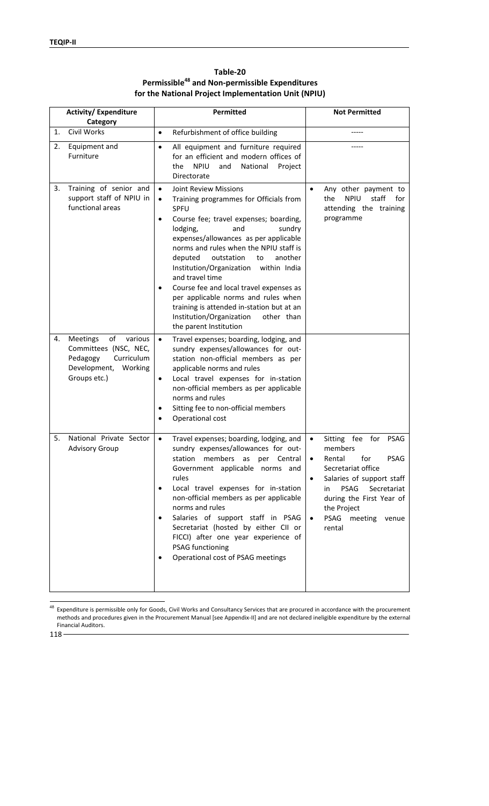| <b>Activity/ Expenditure</b><br>Category                                                                                             | Permitted                                                                                                                                                                                                                                                                                                                                                                                                                                                                                                                                                                                        | <b>Not Permitted</b>                                                                                                                                                                                                                                                                              |
|--------------------------------------------------------------------------------------------------------------------------------------|--------------------------------------------------------------------------------------------------------------------------------------------------------------------------------------------------------------------------------------------------------------------------------------------------------------------------------------------------------------------------------------------------------------------------------------------------------------------------------------------------------------------------------------------------------------------------------------------------|---------------------------------------------------------------------------------------------------------------------------------------------------------------------------------------------------------------------------------------------------------------------------------------------------|
| Civil Works<br>1.                                                                                                                    | Refurbishment of office building<br>$\bullet$                                                                                                                                                                                                                                                                                                                                                                                                                                                                                                                                                    |                                                                                                                                                                                                                                                                                                   |
| 2.<br>Equipment and<br>Furniture                                                                                                     | All equipment and furniture required<br>$\bullet$<br>for an efficient and modern offices of<br><b>NPIU</b><br>National<br>the<br>and<br>Project<br>Directorate                                                                                                                                                                                                                                                                                                                                                                                                                                   |                                                                                                                                                                                                                                                                                                   |
| Training of senior and<br>3.<br>support staff of NPIU in<br>functional areas                                                         | <b>Joint Review Missions</b><br>$\bullet$<br>Training programmes for Officials from<br>$\bullet$<br>SPFU<br>Course fee; travel expenses; boarding,<br>$\bullet$<br>lodging,<br>and<br>sundry<br>expenses/allowances as per applicable<br>norms and rules when the NPIU staff is<br>deputed<br>outstation<br>another<br>to<br>Institution/Organization<br>within India<br>and travel time<br>Course fee and local travel expenses as<br>٠<br>per applicable norms and rules when<br>training is attended in-station but at an<br>Institution/Organization<br>other than<br>the parent Institution | $\bullet$<br>Any other payment to<br><b>NPIU</b><br>staff<br>the<br>for<br>attending the training<br>programme                                                                                                                                                                                    |
| <b>Meetings</b><br>of<br>various<br>4.<br>Committees (NSC, NEC,<br>Pedagogy<br>Curriculum<br>Development,<br>Working<br>Groups etc.) | Travel expenses; boarding, lodging, and<br>$\bullet$<br>sundry expenses/allowances for out-<br>station non-official members as per<br>applicable norms and rules<br>Local travel expenses for in-station<br>$\bullet$<br>non-official members as per applicable<br>norms and rules<br>Sitting fee to non-official members<br>$\bullet$<br>Operational cost<br>$\bullet$                                                                                                                                                                                                                          |                                                                                                                                                                                                                                                                                                   |
| National Private Sector<br>5.<br><b>Advisory Group</b>                                                                               | Travel expenses; boarding, lodging, and<br>$\bullet$<br>sundry expenses/allowances for out-<br>station<br>members<br>Central<br>as<br>per<br>Government applicable norms and<br>rules<br>Local travel expenses for in-station<br>$\bullet$<br>non-official members as per applicable<br>norms and rules<br>Salaries of support staff in PSAG<br>$\bullet$<br>Secretariat (hosted by either CII or<br>FICCI) after one year experience of<br><b>PSAG functioning</b><br>Operational cost of PSAG meetings<br>$\bullet$                                                                            | Sitting fee<br>for<br>PSAG<br>$\bullet$<br>members<br>for<br><b>PSAG</b><br>Rental<br>$\bullet$<br>Secretariat office<br>Salaries of support staff<br>$\bullet$<br><b>PSAG</b><br>Secretariat<br>in<br>during the First Year of<br>the Project<br>PSAG<br>meeting<br>$\bullet$<br>venue<br>rental |

**Table‐20 [Permissible48 and Non‐permissible Expenditures for the National Project Implementation Unit (NPIU)** 

 $\overline{a}$ <sup>48</sup> Expenditure is permissible only for Goods, Civil Works and Consultancy Services that are procured in accordance with the procurement methods and procedures given in the Procurement Manual [see Appendix‐II] and are not declared ineligible expenditure by the external Financial Auditors.

118

 $\mathsf{l}$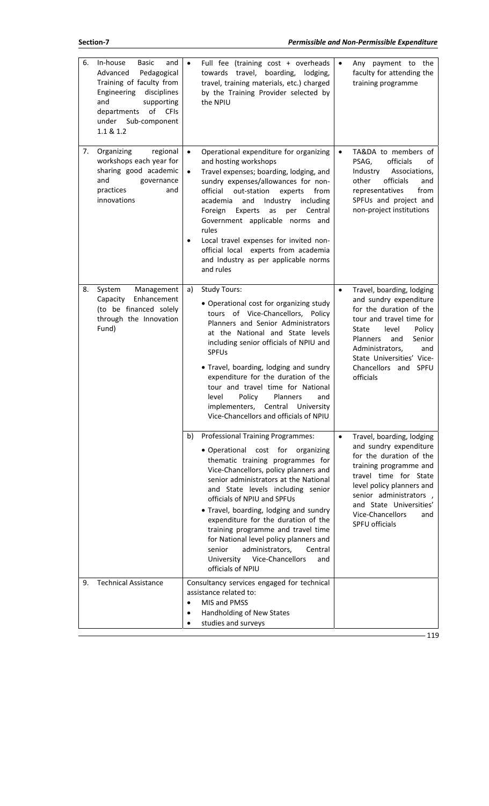| 6. | In-house<br><b>Basic</b><br>and<br>Advanced<br>Pedagogical<br>Training of faculty from<br>Engineering<br>disciplines<br>and<br>supporting<br>of<br><b>CFIs</b><br>departments<br>under<br>Sub-component<br>1.1 & 1.2 | Full fee (training cost + overheads<br>$\bullet$<br>towards travel, boarding,<br>lodging,<br>travel, training materials, etc.) charged<br>by the Training Provider selected by<br>the NPIU                                                                                                                                                                                                                                                                                                                                                              | $\bullet$ | Any payment to the<br>faculty for attending the<br>training programme                                                                                                                                                                                                   |
|----|----------------------------------------------------------------------------------------------------------------------------------------------------------------------------------------------------------------------|---------------------------------------------------------------------------------------------------------------------------------------------------------------------------------------------------------------------------------------------------------------------------------------------------------------------------------------------------------------------------------------------------------------------------------------------------------------------------------------------------------------------------------------------------------|-----------|-------------------------------------------------------------------------------------------------------------------------------------------------------------------------------------------------------------------------------------------------------------------------|
| 7. | Organizing<br>regional<br>workshops each year for<br>sharing good academic<br>and<br>governance<br>practices<br>and<br>innovations                                                                                   | Operational expenditure for organizing<br>$\bullet$<br>and hosting workshops<br>Travel expenses; boarding, lodging, and<br>$\bullet$<br>sundry expenses/allowances for non-<br>official<br>out-station<br>experts<br>from<br>academia<br>and<br>Industry<br>including<br>Experts<br>Foreign<br>as<br>Central<br>per<br>Government applicable norms and<br>rules<br>Local travel expenses for invited non-<br>$\bullet$<br>official local experts from academia<br>and Industry as per applicable norms<br>and rules                                     | $\bullet$ | TA&DA to members of<br>officials<br>PSAG,<br>οf<br>Industry<br>Associations,<br>officials<br>other<br>and<br>representatives<br>from<br>SPFUs and project and<br>non-project institutions                                                                               |
| 8. | System<br>Management<br>Enhancement<br>Capacity<br>(to be financed solely<br>through the Innovation<br>Fund)                                                                                                         | a)<br><b>Study Tours:</b><br>• Operational cost for organizing study<br>tours of Vice-Chancellors, Policy<br>Planners and Senior Administrators<br>at the National and State levels<br>including senior officials of NPIU and<br><b>SPFUs</b><br>• Travel, boarding, lodging and sundry<br>expenditure for the duration of the<br>tour and travel time for National<br>Policy<br>Planners<br>level<br>and<br>implementers,<br>Central University<br>Vice-Chancellors and officials of NPIU                                                              | $\bullet$ | Travel, boarding, lodging<br>and sundry expenditure<br>for the duration of the<br>tour and travel time for<br>Policy<br>State<br>level<br>Senior<br>Planners<br>and<br>Administrators,<br>and<br>State Universities' Vice-<br>Chancellors and SPFU<br>officials         |
|    |                                                                                                                                                                                                                      | <b>Professional Training Programmes:</b><br>b)<br>• Operational cost for<br>organizing<br>thematic training programmes for<br>Vice-Chancellors, policy planners and<br>senior administrators at the National<br>and State levels including senior<br>officials of NPIU and SPFUs<br>• Travel, boarding, lodging and sundry<br>expenditure for the duration of the<br>training programme and travel time<br>for National level policy planners and<br>administrators,<br>Central<br>senior<br>Vice-Chancellors<br>University<br>and<br>officials of NPIU | $\bullet$ | Travel, boarding, lodging<br>and sundry expenditure<br>for the duration of the<br>training programme and<br>travel time for State<br>level policy planners and<br>senior administrators,<br>and State Universities'<br><b>Vice-Chancellors</b><br>and<br>SPFU officials |
| 9. | <b>Technical Assistance</b>                                                                                                                                                                                          | Consultancy services engaged for technical<br>assistance related to:<br>MIS and PMSS<br>$\bullet$<br>Handholding of New States<br>$\bullet$<br>studies and surveys<br>$\bullet$                                                                                                                                                                                                                                                                                                                                                                         |           |                                                                                                                                                                                                                                                                         |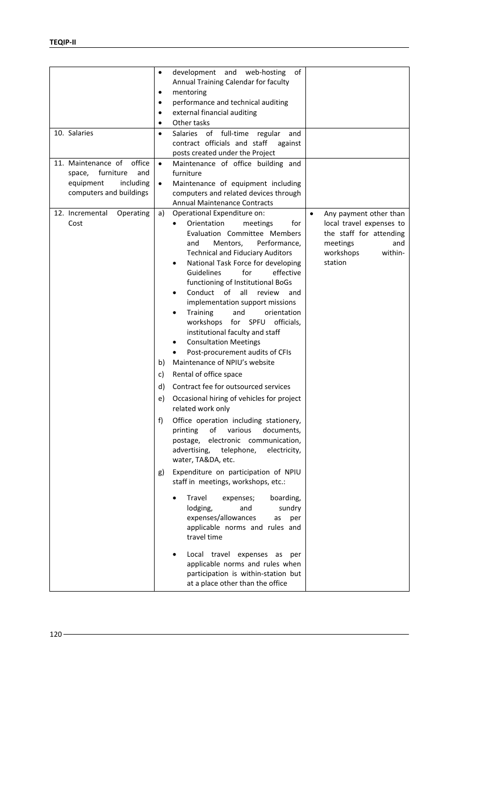| development<br>and<br>web-hosting<br>of<br>$\bullet$<br>Annual Training Calendar for faculty<br>mentoring<br>$\bullet$<br>performance and technical auditing<br>$\bullet$<br>external financial auditing<br>$\bullet$<br>Other tasks<br>$\bullet$<br>10. Salaries<br>of full-time<br>Salaries<br>regular<br>and<br>$\bullet$<br>contract officials and staff<br>against<br>posts created under the Project<br>office<br>11. Maintenance of<br>Maintenance of office building and<br>$\bullet$<br>furniture<br>and<br>furniture<br>space,<br>including<br>equipment<br>Maintenance of equipment including<br>$\bullet$<br>computers and buildings<br>computers and related devices through<br><b>Annual Maintenance Contracts</b><br>Operational Expenditure on:<br>12. Incremental<br>Operating<br>a)<br>Any payment other than<br>$\bullet$<br>Cost<br>local travel expenses to<br>Orientation<br>for<br>meetings<br>$\bullet$<br>Evaluation Committee Members<br>the staff for attending<br>Performance,<br>and<br>Mentors,<br>meetings<br>and<br><b>Technical and Fiduciary Auditors</b><br>workshops<br>within-<br>station<br>National Task Force for developing<br><b>Guidelines</b><br>for<br>effective<br>functioning of Institutional BoGs<br>Conduct<br>of<br>all<br>review<br>and<br>implementation support missions<br><b>Training</b><br>orientation<br>and<br>$\bullet$<br>workshops<br>SPFU<br>officials,<br>for<br>institutional faculty and staff<br><b>Consultation Meetings</b><br>٠<br>Post-procurement audits of CFIs<br>$\bullet$<br>Maintenance of NPIU's website<br>b)<br>Rental of office space<br>c)<br>Contract fee for outsourced services<br>d)<br>Occasional hiring of vehicles for project<br>e)<br>related work only<br>f)<br>Office operation including stationery,<br>of<br>various<br>printing<br>documents,<br>electronic communication,<br>postage,<br>telephone,<br>advertising,<br>electricity,<br>water, TA&DA, etc.<br>Expenditure on participation of NPIU<br>g)<br>staff in meetings, workshops, etc.:<br>Travel<br>boarding,<br>expenses;<br>lodging,<br>sundry<br>and<br>expenses/allowances<br>per<br>as<br>applicable norms and rules and<br>travel time<br>Local travel expenses as per<br>applicable norms and rules when |  |                                     |  |
|---------------------------------------------------------------------------------------------------------------------------------------------------------------------------------------------------------------------------------------------------------------------------------------------------------------------------------------------------------------------------------------------------------------------------------------------------------------------------------------------------------------------------------------------------------------------------------------------------------------------------------------------------------------------------------------------------------------------------------------------------------------------------------------------------------------------------------------------------------------------------------------------------------------------------------------------------------------------------------------------------------------------------------------------------------------------------------------------------------------------------------------------------------------------------------------------------------------------------------------------------------------------------------------------------------------------------------------------------------------------------------------------------------------------------------------------------------------------------------------------------------------------------------------------------------------------------------------------------------------------------------------------------------------------------------------------------------------------------------------------------------------------------------------------------------------------------------------------------------------------------------------------------------------------------------------------------------------------------------------------------------------------------------------------------------------------------------------------------------------------------------------------------------------------------------------------------------------------------------------------------------------------------|--|-------------------------------------|--|
|                                                                                                                                                                                                                                                                                                                                                                                                                                                                                                                                                                                                                                                                                                                                                                                                                                                                                                                                                                                                                                                                                                                                                                                                                                                                                                                                                                                                                                                                                                                                                                                                                                                                                                                                                                                                                                                                                                                                                                                                                                                                                                                                                                                                                                                                           |  |                                     |  |
|                                                                                                                                                                                                                                                                                                                                                                                                                                                                                                                                                                                                                                                                                                                                                                                                                                                                                                                                                                                                                                                                                                                                                                                                                                                                                                                                                                                                                                                                                                                                                                                                                                                                                                                                                                                                                                                                                                                                                                                                                                                                                                                                                                                                                                                                           |  |                                     |  |
|                                                                                                                                                                                                                                                                                                                                                                                                                                                                                                                                                                                                                                                                                                                                                                                                                                                                                                                                                                                                                                                                                                                                                                                                                                                                                                                                                                                                                                                                                                                                                                                                                                                                                                                                                                                                                                                                                                                                                                                                                                                                                                                                                                                                                                                                           |  |                                     |  |
|                                                                                                                                                                                                                                                                                                                                                                                                                                                                                                                                                                                                                                                                                                                                                                                                                                                                                                                                                                                                                                                                                                                                                                                                                                                                                                                                                                                                                                                                                                                                                                                                                                                                                                                                                                                                                                                                                                                                                                                                                                                                                                                                                                                                                                                                           |  |                                     |  |
|                                                                                                                                                                                                                                                                                                                                                                                                                                                                                                                                                                                                                                                                                                                                                                                                                                                                                                                                                                                                                                                                                                                                                                                                                                                                                                                                                                                                                                                                                                                                                                                                                                                                                                                                                                                                                                                                                                                                                                                                                                                                                                                                                                                                                                                                           |  |                                     |  |
|                                                                                                                                                                                                                                                                                                                                                                                                                                                                                                                                                                                                                                                                                                                                                                                                                                                                                                                                                                                                                                                                                                                                                                                                                                                                                                                                                                                                                                                                                                                                                                                                                                                                                                                                                                                                                                                                                                                                                                                                                                                                                                                                                                                                                                                                           |  |                                     |  |
|                                                                                                                                                                                                                                                                                                                                                                                                                                                                                                                                                                                                                                                                                                                                                                                                                                                                                                                                                                                                                                                                                                                                                                                                                                                                                                                                                                                                                                                                                                                                                                                                                                                                                                                                                                                                                                                                                                                                                                                                                                                                                                                                                                                                                                                                           |  |                                     |  |
|                                                                                                                                                                                                                                                                                                                                                                                                                                                                                                                                                                                                                                                                                                                                                                                                                                                                                                                                                                                                                                                                                                                                                                                                                                                                                                                                                                                                                                                                                                                                                                                                                                                                                                                                                                                                                                                                                                                                                                                                                                                                                                                                                                                                                                                                           |  |                                     |  |
|                                                                                                                                                                                                                                                                                                                                                                                                                                                                                                                                                                                                                                                                                                                                                                                                                                                                                                                                                                                                                                                                                                                                                                                                                                                                                                                                                                                                                                                                                                                                                                                                                                                                                                                                                                                                                                                                                                                                                                                                                                                                                                                                                                                                                                                                           |  |                                     |  |
|                                                                                                                                                                                                                                                                                                                                                                                                                                                                                                                                                                                                                                                                                                                                                                                                                                                                                                                                                                                                                                                                                                                                                                                                                                                                                                                                                                                                                                                                                                                                                                                                                                                                                                                                                                                                                                                                                                                                                                                                                                                                                                                                                                                                                                                                           |  |                                     |  |
|                                                                                                                                                                                                                                                                                                                                                                                                                                                                                                                                                                                                                                                                                                                                                                                                                                                                                                                                                                                                                                                                                                                                                                                                                                                                                                                                                                                                                                                                                                                                                                                                                                                                                                                                                                                                                                                                                                                                                                                                                                                                                                                                                                                                                                                                           |  |                                     |  |
|                                                                                                                                                                                                                                                                                                                                                                                                                                                                                                                                                                                                                                                                                                                                                                                                                                                                                                                                                                                                                                                                                                                                                                                                                                                                                                                                                                                                                                                                                                                                                                                                                                                                                                                                                                                                                                                                                                                                                                                                                                                                                                                                                                                                                                                                           |  |                                     |  |
|                                                                                                                                                                                                                                                                                                                                                                                                                                                                                                                                                                                                                                                                                                                                                                                                                                                                                                                                                                                                                                                                                                                                                                                                                                                                                                                                                                                                                                                                                                                                                                                                                                                                                                                                                                                                                                                                                                                                                                                                                                                                                                                                                                                                                                                                           |  |                                     |  |
|                                                                                                                                                                                                                                                                                                                                                                                                                                                                                                                                                                                                                                                                                                                                                                                                                                                                                                                                                                                                                                                                                                                                                                                                                                                                                                                                                                                                                                                                                                                                                                                                                                                                                                                                                                                                                                                                                                                                                                                                                                                                                                                                                                                                                                                                           |  |                                     |  |
|                                                                                                                                                                                                                                                                                                                                                                                                                                                                                                                                                                                                                                                                                                                                                                                                                                                                                                                                                                                                                                                                                                                                                                                                                                                                                                                                                                                                                                                                                                                                                                                                                                                                                                                                                                                                                                                                                                                                                                                                                                                                                                                                                                                                                                                                           |  |                                     |  |
|                                                                                                                                                                                                                                                                                                                                                                                                                                                                                                                                                                                                                                                                                                                                                                                                                                                                                                                                                                                                                                                                                                                                                                                                                                                                                                                                                                                                                                                                                                                                                                                                                                                                                                                                                                                                                                                                                                                                                                                                                                                                                                                                                                                                                                                                           |  |                                     |  |
|                                                                                                                                                                                                                                                                                                                                                                                                                                                                                                                                                                                                                                                                                                                                                                                                                                                                                                                                                                                                                                                                                                                                                                                                                                                                                                                                                                                                                                                                                                                                                                                                                                                                                                                                                                                                                                                                                                                                                                                                                                                                                                                                                                                                                                                                           |  |                                     |  |
|                                                                                                                                                                                                                                                                                                                                                                                                                                                                                                                                                                                                                                                                                                                                                                                                                                                                                                                                                                                                                                                                                                                                                                                                                                                                                                                                                                                                                                                                                                                                                                                                                                                                                                                                                                                                                                                                                                                                                                                                                                                                                                                                                                                                                                                                           |  |                                     |  |
|                                                                                                                                                                                                                                                                                                                                                                                                                                                                                                                                                                                                                                                                                                                                                                                                                                                                                                                                                                                                                                                                                                                                                                                                                                                                                                                                                                                                                                                                                                                                                                                                                                                                                                                                                                                                                                                                                                                                                                                                                                                                                                                                                                                                                                                                           |  |                                     |  |
|                                                                                                                                                                                                                                                                                                                                                                                                                                                                                                                                                                                                                                                                                                                                                                                                                                                                                                                                                                                                                                                                                                                                                                                                                                                                                                                                                                                                                                                                                                                                                                                                                                                                                                                                                                                                                                                                                                                                                                                                                                                                                                                                                                                                                                                                           |  |                                     |  |
|                                                                                                                                                                                                                                                                                                                                                                                                                                                                                                                                                                                                                                                                                                                                                                                                                                                                                                                                                                                                                                                                                                                                                                                                                                                                                                                                                                                                                                                                                                                                                                                                                                                                                                                                                                                                                                                                                                                                                                                                                                                                                                                                                                                                                                                                           |  |                                     |  |
|                                                                                                                                                                                                                                                                                                                                                                                                                                                                                                                                                                                                                                                                                                                                                                                                                                                                                                                                                                                                                                                                                                                                                                                                                                                                                                                                                                                                                                                                                                                                                                                                                                                                                                                                                                                                                                                                                                                                                                                                                                                                                                                                                                                                                                                                           |  |                                     |  |
|                                                                                                                                                                                                                                                                                                                                                                                                                                                                                                                                                                                                                                                                                                                                                                                                                                                                                                                                                                                                                                                                                                                                                                                                                                                                                                                                                                                                                                                                                                                                                                                                                                                                                                                                                                                                                                                                                                                                                                                                                                                                                                                                                                                                                                                                           |  |                                     |  |
|                                                                                                                                                                                                                                                                                                                                                                                                                                                                                                                                                                                                                                                                                                                                                                                                                                                                                                                                                                                                                                                                                                                                                                                                                                                                                                                                                                                                                                                                                                                                                                                                                                                                                                                                                                                                                                                                                                                                                                                                                                                                                                                                                                                                                                                                           |  |                                     |  |
|                                                                                                                                                                                                                                                                                                                                                                                                                                                                                                                                                                                                                                                                                                                                                                                                                                                                                                                                                                                                                                                                                                                                                                                                                                                                                                                                                                                                                                                                                                                                                                                                                                                                                                                                                                                                                                                                                                                                                                                                                                                                                                                                                                                                                                                                           |  |                                     |  |
|                                                                                                                                                                                                                                                                                                                                                                                                                                                                                                                                                                                                                                                                                                                                                                                                                                                                                                                                                                                                                                                                                                                                                                                                                                                                                                                                                                                                                                                                                                                                                                                                                                                                                                                                                                                                                                                                                                                                                                                                                                                                                                                                                                                                                                                                           |  |                                     |  |
|                                                                                                                                                                                                                                                                                                                                                                                                                                                                                                                                                                                                                                                                                                                                                                                                                                                                                                                                                                                                                                                                                                                                                                                                                                                                                                                                                                                                                                                                                                                                                                                                                                                                                                                                                                                                                                                                                                                                                                                                                                                                                                                                                                                                                                                                           |  |                                     |  |
|                                                                                                                                                                                                                                                                                                                                                                                                                                                                                                                                                                                                                                                                                                                                                                                                                                                                                                                                                                                                                                                                                                                                                                                                                                                                                                                                                                                                                                                                                                                                                                                                                                                                                                                                                                                                                                                                                                                                                                                                                                                                                                                                                                                                                                                                           |  |                                     |  |
|                                                                                                                                                                                                                                                                                                                                                                                                                                                                                                                                                                                                                                                                                                                                                                                                                                                                                                                                                                                                                                                                                                                                                                                                                                                                                                                                                                                                                                                                                                                                                                                                                                                                                                                                                                                                                                                                                                                                                                                                                                                                                                                                                                                                                                                                           |  |                                     |  |
|                                                                                                                                                                                                                                                                                                                                                                                                                                                                                                                                                                                                                                                                                                                                                                                                                                                                                                                                                                                                                                                                                                                                                                                                                                                                                                                                                                                                                                                                                                                                                                                                                                                                                                                                                                                                                                                                                                                                                                                                                                                                                                                                                                                                                                                                           |  |                                     |  |
|                                                                                                                                                                                                                                                                                                                                                                                                                                                                                                                                                                                                                                                                                                                                                                                                                                                                                                                                                                                                                                                                                                                                                                                                                                                                                                                                                                                                                                                                                                                                                                                                                                                                                                                                                                                                                                                                                                                                                                                                                                                                                                                                                                                                                                                                           |  |                                     |  |
|                                                                                                                                                                                                                                                                                                                                                                                                                                                                                                                                                                                                                                                                                                                                                                                                                                                                                                                                                                                                                                                                                                                                                                                                                                                                                                                                                                                                                                                                                                                                                                                                                                                                                                                                                                                                                                                                                                                                                                                                                                                                                                                                                                                                                                                                           |  |                                     |  |
|                                                                                                                                                                                                                                                                                                                                                                                                                                                                                                                                                                                                                                                                                                                                                                                                                                                                                                                                                                                                                                                                                                                                                                                                                                                                                                                                                                                                                                                                                                                                                                                                                                                                                                                                                                                                                                                                                                                                                                                                                                                                                                                                                                                                                                                                           |  |                                     |  |
|                                                                                                                                                                                                                                                                                                                                                                                                                                                                                                                                                                                                                                                                                                                                                                                                                                                                                                                                                                                                                                                                                                                                                                                                                                                                                                                                                                                                                                                                                                                                                                                                                                                                                                                                                                                                                                                                                                                                                                                                                                                                                                                                                                                                                                                                           |  |                                     |  |
|                                                                                                                                                                                                                                                                                                                                                                                                                                                                                                                                                                                                                                                                                                                                                                                                                                                                                                                                                                                                                                                                                                                                                                                                                                                                                                                                                                                                                                                                                                                                                                                                                                                                                                                                                                                                                                                                                                                                                                                                                                                                                                                                                                                                                                                                           |  |                                     |  |
|                                                                                                                                                                                                                                                                                                                                                                                                                                                                                                                                                                                                                                                                                                                                                                                                                                                                                                                                                                                                                                                                                                                                                                                                                                                                                                                                                                                                                                                                                                                                                                                                                                                                                                                                                                                                                                                                                                                                                                                                                                                                                                                                                                                                                                                                           |  |                                     |  |
|                                                                                                                                                                                                                                                                                                                                                                                                                                                                                                                                                                                                                                                                                                                                                                                                                                                                                                                                                                                                                                                                                                                                                                                                                                                                                                                                                                                                                                                                                                                                                                                                                                                                                                                                                                                                                                                                                                                                                                                                                                                                                                                                                                                                                                                                           |  |                                     |  |
|                                                                                                                                                                                                                                                                                                                                                                                                                                                                                                                                                                                                                                                                                                                                                                                                                                                                                                                                                                                                                                                                                                                                                                                                                                                                                                                                                                                                                                                                                                                                                                                                                                                                                                                                                                                                                                                                                                                                                                                                                                                                                                                                                                                                                                                                           |  |                                     |  |
|                                                                                                                                                                                                                                                                                                                                                                                                                                                                                                                                                                                                                                                                                                                                                                                                                                                                                                                                                                                                                                                                                                                                                                                                                                                                                                                                                                                                                                                                                                                                                                                                                                                                                                                                                                                                                                                                                                                                                                                                                                                                                                                                                                                                                                                                           |  |                                     |  |
|                                                                                                                                                                                                                                                                                                                                                                                                                                                                                                                                                                                                                                                                                                                                                                                                                                                                                                                                                                                                                                                                                                                                                                                                                                                                                                                                                                                                                                                                                                                                                                                                                                                                                                                                                                                                                                                                                                                                                                                                                                                                                                                                                                                                                                                                           |  |                                     |  |
|                                                                                                                                                                                                                                                                                                                                                                                                                                                                                                                                                                                                                                                                                                                                                                                                                                                                                                                                                                                                                                                                                                                                                                                                                                                                                                                                                                                                                                                                                                                                                                                                                                                                                                                                                                                                                                                                                                                                                                                                                                                                                                                                                                                                                                                                           |  |                                     |  |
|                                                                                                                                                                                                                                                                                                                                                                                                                                                                                                                                                                                                                                                                                                                                                                                                                                                                                                                                                                                                                                                                                                                                                                                                                                                                                                                                                                                                                                                                                                                                                                                                                                                                                                                                                                                                                                                                                                                                                                                                                                                                                                                                                                                                                                                                           |  |                                     |  |
|                                                                                                                                                                                                                                                                                                                                                                                                                                                                                                                                                                                                                                                                                                                                                                                                                                                                                                                                                                                                                                                                                                                                                                                                                                                                                                                                                                                                                                                                                                                                                                                                                                                                                                                                                                                                                                                                                                                                                                                                                                                                                                                                                                                                                                                                           |  |                                     |  |
|                                                                                                                                                                                                                                                                                                                                                                                                                                                                                                                                                                                                                                                                                                                                                                                                                                                                                                                                                                                                                                                                                                                                                                                                                                                                                                                                                                                                                                                                                                                                                                                                                                                                                                                                                                                                                                                                                                                                                                                                                                                                                                                                                                                                                                                                           |  |                                     |  |
|                                                                                                                                                                                                                                                                                                                                                                                                                                                                                                                                                                                                                                                                                                                                                                                                                                                                                                                                                                                                                                                                                                                                                                                                                                                                                                                                                                                                                                                                                                                                                                                                                                                                                                                                                                                                                                                                                                                                                                                                                                                                                                                                                                                                                                                                           |  | participation is within-station but |  |
| at a place other than the office                                                                                                                                                                                                                                                                                                                                                                                                                                                                                                                                                                                                                                                                                                                                                                                                                                                                                                                                                                                                                                                                                                                                                                                                                                                                                                                                                                                                                                                                                                                                                                                                                                                                                                                                                                                                                                                                                                                                                                                                                                                                                                                                                                                                                                          |  |                                     |  |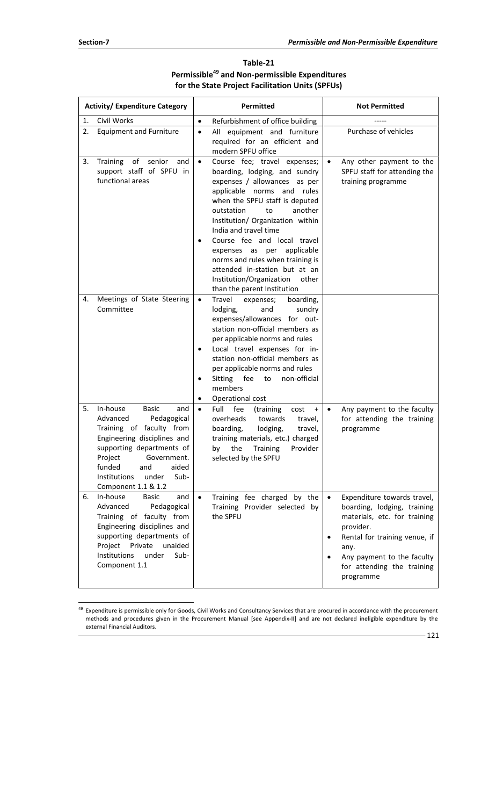| Table-21                                                   |
|------------------------------------------------------------|
| Permissible <sup>49</sup> and Non-permissible Expenditures |
| for the State Project Facilitation Units (SPFUs)           |

| <b>Activity/ Expenditure Category</b>                                                                                                                                                                                                                                | Permitted                                                                                                                                                                                                                                                                                                                                                                                                                                                                             | <b>Not Permitted</b>                                                                                                                                                                                                                   |  |
|----------------------------------------------------------------------------------------------------------------------------------------------------------------------------------------------------------------------------------------------------------------------|---------------------------------------------------------------------------------------------------------------------------------------------------------------------------------------------------------------------------------------------------------------------------------------------------------------------------------------------------------------------------------------------------------------------------------------------------------------------------------------|----------------------------------------------------------------------------------------------------------------------------------------------------------------------------------------------------------------------------------------|--|
| Civil Works<br>1.                                                                                                                                                                                                                                                    | Refurbishment of office building<br>$\bullet$                                                                                                                                                                                                                                                                                                                                                                                                                                         |                                                                                                                                                                                                                                        |  |
| 2.<br><b>Equipment and Furniture</b>                                                                                                                                                                                                                                 | All equipment and furniture<br>$\bullet$<br>required for an efficient and<br>modern SPFU office                                                                                                                                                                                                                                                                                                                                                                                       | Purchase of vehicles                                                                                                                                                                                                                   |  |
| Training<br>of<br>senior<br>3.<br>and<br>support staff of SPFU in<br>functional areas                                                                                                                                                                                | Course fee; travel expenses;<br>$\bullet$<br>boarding, lodging, and sundry<br>expenses / allowances<br>as per<br>applicable norms<br>and rules<br>when the SPFU staff is deputed<br>outstation<br>to<br>another<br>Institution/ Organization within<br>India and travel time<br>Course fee and local travel<br>applicable<br>expenses as per<br>norms and rules when training is<br>attended in-station but at an<br>Institution/Organization<br>other<br>than the parent Institution | Any other payment to the<br>$\bullet$<br>SPFU staff for attending the<br>training programme                                                                                                                                            |  |
| Meetings of State Steering<br>4.<br>Committee                                                                                                                                                                                                                        | Travel<br>expenses;<br>boarding,<br>$\bullet$<br>lodging,<br>sundry<br>and<br>expenses/allowances for out-<br>station non-official members as<br>per applicable norms and rules<br>Local travel expenses for in-<br>٠<br>station non-official members as<br>per applicable norms and rules<br>Sitting fee<br>non-official<br>to<br>٠<br>members<br>Operational cost                                                                                                                   |                                                                                                                                                                                                                                        |  |
| In-house<br>5.<br><b>Basic</b><br>and<br>Advanced<br>Pedagogical<br>Training of faculty from<br>Engineering disciplines and<br>supporting departments of<br>Project<br>Government.<br>funded<br>aided<br>and<br>Institutions<br>Sub-<br>under<br>Component 1.1 & 1.2 | Full<br>fee<br>(training<br>cost<br>$\bullet$<br>$\ddot{}$<br>overheads<br>towards<br>travel,<br>lodging,<br>boarding,<br>travel,<br>training materials, etc.) charged<br><b>Training</b><br>Provider<br>the<br>by<br>selected by the SPFU                                                                                                                                                                                                                                            | Any payment to the faculty<br>$\bullet$<br>for attending the training<br>programme                                                                                                                                                     |  |
| In-house<br><b>Basic</b><br>6.<br>and<br>Advanced<br>Pedagogical<br>Training of faculty from<br>Engineering disciplines and<br>supporting departments of<br>Project<br>Private<br>unaided<br>Institutions<br>under<br>Sub-<br>Component 1.1                          | Training fee charged by the<br>$\bullet$<br>Training Provider selected by<br>the SPFU                                                                                                                                                                                                                                                                                                                                                                                                 | Expenditure towards travel,<br>$\bullet$<br>boarding, lodging, training<br>materials, etc. for training<br>provider.<br>Rental for training venue, if<br>any.<br>Any payment to the faculty<br>for attending the training<br>programme |  |

 $\overline{a}$ <sup>49</sup> Expenditure is permissible only for Goods, Civil Works and Consultancy Services that are procured in accordance with the procurement methods and procedures given in the Procurement Manual [see Appendix‐II] and are not declared ineligible expenditure by the external Financial Auditors.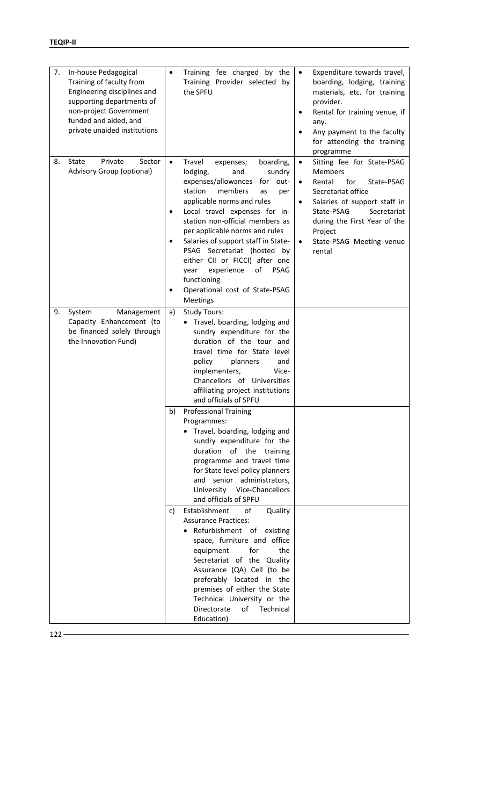| 7. | In-house Pedagogical<br>Training of faculty from<br>Engineering disciplines and<br>supporting departments of<br>non-project Government<br>funded and aided, and<br>private unaided institutions |                | Training fee charged by the<br>Training Provider selected by<br>the SPFU                                                                                                                                                                                                                                                                                                                                                                                                                | $\bullet$                                        | Expenditure towards travel,<br>boarding, lodging, training<br>materials, etc. for training<br>provider.<br>Rental for training venue, if<br>any.<br>Any payment to the faculty<br>for attending the training<br>programme                       |
|----|-------------------------------------------------------------------------------------------------------------------------------------------------------------------------------------------------|----------------|-----------------------------------------------------------------------------------------------------------------------------------------------------------------------------------------------------------------------------------------------------------------------------------------------------------------------------------------------------------------------------------------------------------------------------------------------------------------------------------------|--------------------------------------------------|-------------------------------------------------------------------------------------------------------------------------------------------------------------------------------------------------------------------------------------------------|
| 8. | Private<br>Sector<br>State<br>Advisory Group (optional)                                                                                                                                         | $\bullet$<br>٠ | Travel<br>boarding,<br>expenses;<br>lodging,<br>and<br>sundry<br>expenses/allowances<br>for out-<br>station<br>members<br>as<br>per<br>applicable norms and rules<br>Local travel expenses for in-<br>station non-official members as<br>per applicable norms and rules<br>Salaries of support staff in State-<br>PSAG Secretariat (hosted by<br>either CII or FICCI) after one<br>experience<br>of<br><b>PSAG</b><br>year<br>functioning<br>Operational cost of State-PSAG<br>Meetings | $\bullet$<br>$\bullet$<br>$\bullet$<br>$\bullet$ | Sitting fee for State-PSAG<br><b>Members</b><br>Rental<br>for<br>State-PSAG<br>Secretariat office<br>Salaries of support staff in<br>State-PSAG<br>Secretariat<br>during the First Year of the<br>Project<br>State-PSAG Meeting venue<br>rental |
| 9. | System<br>Management<br>Capacity Enhancement (to<br>be financed solely through<br>the Innovation Fund)                                                                                          | a)             | <b>Study Tours:</b><br>• Travel, boarding, lodging and<br>sundry expenditure for the<br>duration of the tour and<br>travel time for State level<br>policy<br>planners<br>and<br>implementers,<br>Vice-<br>Chancellors of Universities<br>affiliating project institutions<br>and officials of SPFU                                                                                                                                                                                      |                                                  |                                                                                                                                                                                                                                                 |
|    |                                                                                                                                                                                                 | b)             | <b>Professional Training</b><br>Programmes:<br>Travel, boarding, lodging and<br>sundry expenditure for the<br>duration of the<br>training<br>programme and travel time<br>for State level policy planners<br>senior administrators,<br>and<br>University<br>Vice-Chancellors<br>and officials of SPFU                                                                                                                                                                                   |                                                  |                                                                                                                                                                                                                                                 |
|    |                                                                                                                                                                                                 | c)             | Establishment<br>of<br>Quality<br><b>Assurance Practices:</b><br>Refurbishment of<br>existing<br>space, furniture and office<br>the<br>equipment<br>for<br>Secretariat of the Quality<br>Assurance (QA) Cell (to be<br>preferably located in the<br>premises of either the State<br>Technical University or the<br>Directorate<br>of<br>Technical<br>Education)                                                                                                                         |                                                  |                                                                                                                                                                                                                                                 |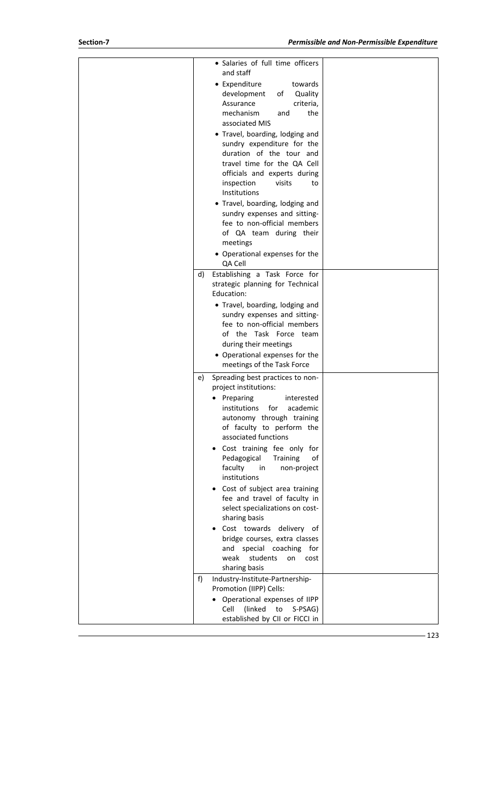| • Salaries of full time officers<br>and staff<br>• Expenditure<br>towards<br>development<br>Quality<br>οf<br>Assurance<br>criteria,<br>mechanism<br>and<br>the<br>associated MIS<br>• Travel, boarding, lodging and<br>sundry expenditure for the<br>duration of the tour and<br>travel time for the QA Cell<br>officials and experts during<br>inspection<br>visits<br>to<br>Institutions<br>• Travel, boarding, lodging and<br>sundry expenses and sitting-<br>fee to non-official members<br>of QA team during their<br>meetings<br>• Operational expenses for the<br>QA Cell<br>Establishing a Task Force for<br>d) |  |
|-------------------------------------------------------------------------------------------------------------------------------------------------------------------------------------------------------------------------------------------------------------------------------------------------------------------------------------------------------------------------------------------------------------------------------------------------------------------------------------------------------------------------------------------------------------------------------------------------------------------------|--|
| strategic planning for Technical<br>Education:<br>• Travel, boarding, lodging and<br>sundry expenses and sitting-<br>fee to non-official members<br>of the Task Force team<br>during their meetings<br>• Operational expenses for the<br>meetings of the Task Force                                                                                                                                                                                                                                                                                                                                                     |  |
| Spreading best practices to non-<br>e)<br>project institutions:<br>Preparing<br>interested<br>institutions<br>for<br>academic<br>autonomy through training<br>of faculty to perform the<br>associated functions<br>Cost training fee only for<br>Pedagogical<br>Training<br>of<br>faculty<br>in<br>non-project<br>institutions<br>• Cost of subject area training<br>fee and travel of faculty in<br>select specializations on cost-<br>sharing basis<br>• Cost towards delivery of<br>bridge courses, extra classes<br>and special coaching for<br>weak<br>students<br>on<br>cost<br>sharing basis                     |  |
| f)<br>Industry-Institute-Partnership-<br>Promotion (IIPP) Cells:<br>• Operational expenses of IIPP<br>(linked)<br>to S-PSAG)<br>Cell<br>established by CII or FICCI in                                                                                                                                                                                                                                                                                                                                                                                                                                                  |  |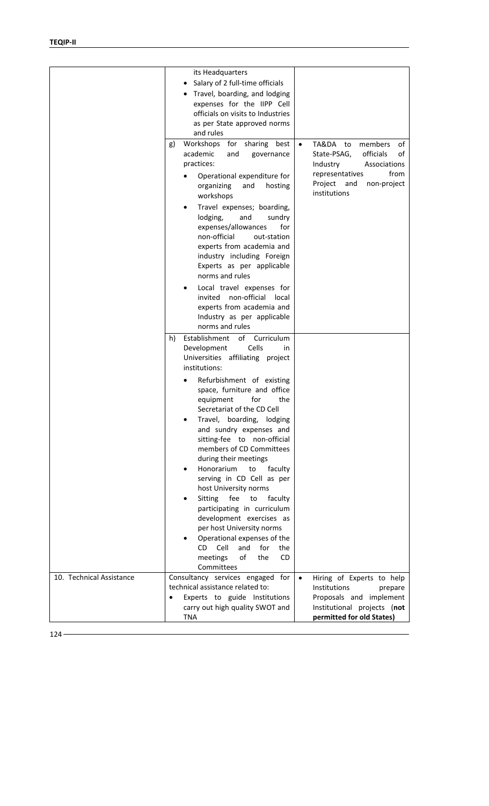|                          | its Headquarters<br>Salary of 2 full-time officials<br>Travel, boarding, and lodging<br>expenses for the IIPP Cell<br>officials on visits to Industries<br>as per State approved norms<br>and rules                                                                                                                                                                                                                           |                                                                                                                                                                                  |
|--------------------------|-------------------------------------------------------------------------------------------------------------------------------------------------------------------------------------------------------------------------------------------------------------------------------------------------------------------------------------------------------------------------------------------------------------------------------|----------------------------------------------------------------------------------------------------------------------------------------------------------------------------------|
|                          | Workshops for sharing best<br>g)<br>academic<br>and<br>governance<br>practices:<br>Operational expenditure for<br>organizing<br>and<br>hosting<br>workshops<br>Travel expenses; boarding,<br>lodging,<br>and<br>sundry<br>expenses/allowances<br>for<br>non-official<br>out-station<br>experts from academia and<br>industry including Foreign                                                                                | TA&DA to<br>members<br>of<br>$\bullet$<br>officials<br>State-PSAG,<br>οf<br>Industry<br>Associations<br>from<br>representatives<br>Project<br>and<br>non-project<br>institutions |
|                          | Experts as per applicable<br>norms and rules<br>Local travel expenses for<br>invited non-official<br>local<br>experts from academia and<br>Industry as per applicable<br>norms and rules<br>Establishment of Curriculum<br>h)                                                                                                                                                                                                 |                                                                                                                                                                                  |
|                          | Cells<br>Development<br>in.<br>Universities affiliating project<br>institutions:<br>Refurbishment of existing<br>space, furniture and office<br>equipment<br>for<br>the<br>Secretariat of the CD Cell<br>Travel, boarding, lodging<br>and sundry expenses and                                                                                                                                                                 |                                                                                                                                                                                  |
|                          | sitting-fee to non-official<br>members of CD Committees<br>during their meetings<br>Honorarium<br>to<br>faculty<br>serving in CD Cell as per<br>host University norms<br>Sitting<br>fee<br>faculty<br>to<br>participating in curriculum<br>development exercises as<br>per host University norms<br>Operational expenses of the<br>Cell<br><b>CD</b><br>and<br>for<br>the<br>of<br>meetings<br><b>CD</b><br>the<br>Committees |                                                                                                                                                                                  |
| 10. Technical Assistance | Consultancy services engaged for<br>technical assistance related to:<br>Experts to guide Institutions<br>$\bullet$<br>carry out high quality SWOT and<br><b>TNA</b>                                                                                                                                                                                                                                                           | Hiring of Experts to help<br>$\bullet$<br>Institutions<br>prepare<br>Proposals and implement<br>Institutional projects (not<br>permitted for old States)                         |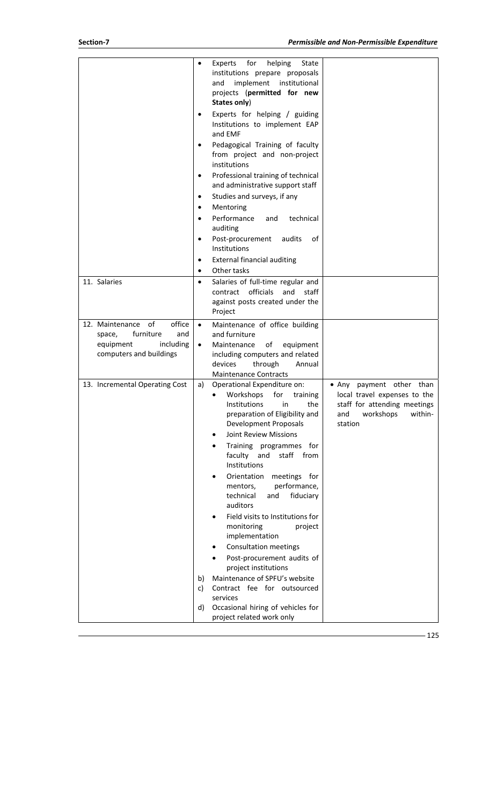|                                                                                 |           | for<br>helping<br>Experts<br>State<br>institutions prepare proposals<br>implement<br>institutional<br>and<br>projects (permitted for new<br>States only)                                                                                                                                                                                                                  |                                                                                                                                    |
|---------------------------------------------------------------------------------|-----------|---------------------------------------------------------------------------------------------------------------------------------------------------------------------------------------------------------------------------------------------------------------------------------------------------------------------------------------------------------------------------|------------------------------------------------------------------------------------------------------------------------------------|
|                                                                                 |           | Experts for helping / guiding<br>Institutions to implement EAP<br>and EMF                                                                                                                                                                                                                                                                                                 |                                                                                                                                    |
|                                                                                 |           | Pedagogical Training of faculty<br>from project and non-project<br>institutions                                                                                                                                                                                                                                                                                           |                                                                                                                                    |
|                                                                                 | $\bullet$ | Professional training of technical<br>and administrative support staff                                                                                                                                                                                                                                                                                                    |                                                                                                                                    |
|                                                                                 | ٠         | Studies and surveys, if any                                                                                                                                                                                                                                                                                                                                               |                                                                                                                                    |
|                                                                                 | ٠         | Mentoring                                                                                                                                                                                                                                                                                                                                                                 |                                                                                                                                    |
|                                                                                 | $\bullet$ | Performance<br>technical<br>and<br>auditing                                                                                                                                                                                                                                                                                                                               |                                                                                                                                    |
|                                                                                 | ٠         | Post-procurement<br>audits<br>οf<br>Institutions                                                                                                                                                                                                                                                                                                                          |                                                                                                                                    |
|                                                                                 | ٠         | <b>External financial auditing</b>                                                                                                                                                                                                                                                                                                                                        |                                                                                                                                    |
|                                                                                 | ٠         | Other tasks                                                                                                                                                                                                                                                                                                                                                               |                                                                                                                                    |
| 11. Salaries                                                                    | ٠         | Salaries of full-time regular and<br>contract officials<br>and<br>staff<br>against posts created under the<br>Project                                                                                                                                                                                                                                                     |                                                                                                                                    |
| office<br>12. Maintenance of                                                    | $\bullet$ | Maintenance of office building                                                                                                                                                                                                                                                                                                                                            |                                                                                                                                    |
| furniture<br>and<br>space,<br>equipment<br>including<br>computers and buildings | $\bullet$ | and furniture<br>of<br>Maintenance<br>equipment<br>including computers and related<br>through<br>devices<br>Annual                                                                                                                                                                                                                                                        |                                                                                                                                    |
|                                                                                 |           | <b>Maintenance Contracts</b>                                                                                                                                                                                                                                                                                                                                              |                                                                                                                                    |
| 13. Incremental Operating Cost                                                  | a)        | Operational Expenditure on:<br>Workshops<br>for<br>training<br>Institutions<br>the<br>in<br>preparation of Eligibility and<br>Development Proposals<br><b>Joint Review Missions</b><br>Training programmes for<br>faculty<br>and<br>staff<br>from<br>Institutions<br>Orientation<br>meetings for<br>performance,<br>mentors,<br>technical<br>fiduciary<br>and<br>auditors | • Any payment other than<br>local travel expenses to the<br>staff for attending meetings<br>and<br>workshops<br>within-<br>station |
|                                                                                 |           | Field visits to Institutions for<br>monitoring<br>project<br>implementation<br><b>Consultation meetings</b><br>Post-procurement audits of                                                                                                                                                                                                                                 |                                                                                                                                    |
|                                                                                 | b)        | project institutions<br>Maintenance of SPFU's website                                                                                                                                                                                                                                                                                                                     |                                                                                                                                    |
|                                                                                 | c)        | Contract fee for outsourced<br>services                                                                                                                                                                                                                                                                                                                                   |                                                                                                                                    |
|                                                                                 | d)        | Occasional hiring of vehicles for                                                                                                                                                                                                                                                                                                                                         |                                                                                                                                    |
|                                                                                 |           | project related work only                                                                                                                                                                                                                                                                                                                                                 |                                                                                                                                    |